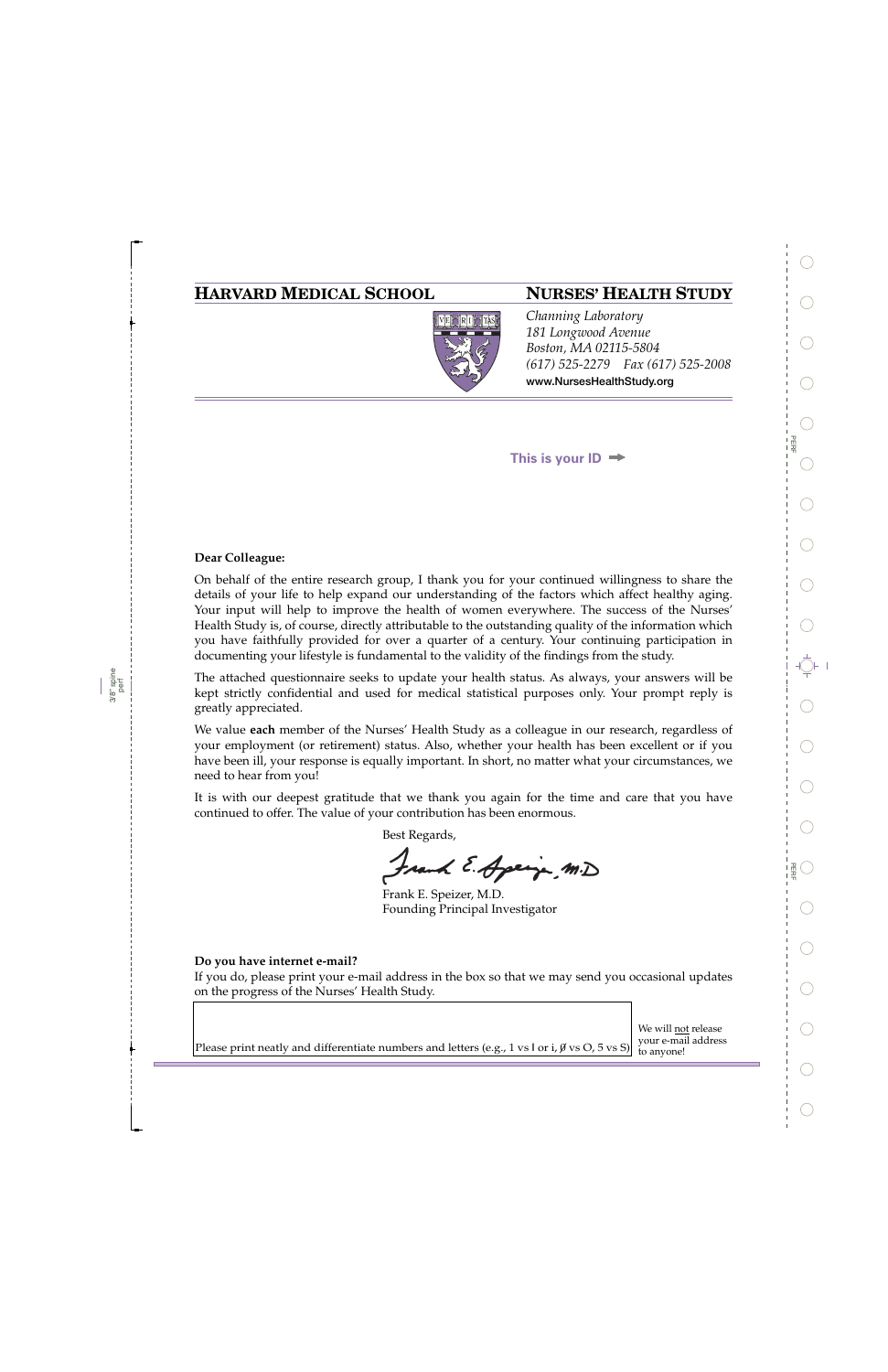## **HARVARD MEDICAL SCHOOL NURSES' HEALTH STUDY**



*Channing Laboratory 181 Longwood Avenue Boston, MA 02115-5804 (617) 525-2279 Fax (617) 525-2008*  **www.NursesHealthStudy.org** 

**This is your ID**

### **Dear Colleague:**

On behalf of the entire research group, I thank you for your continued willingness to share the details of your life to help expand our understanding of the factors which affect healthy aging. Your input will help to improve the health of women everywhere. The success of the Nurses' Health Study is, of course, directly attributable to the outstanding quality of the information which you have faithfully provided for over a quarter of a century. Your continuing participation in documenting your lifestyle is fundamental to the validity of the findings from the study.

The attached questionnaire seeks to update your health status. As always, your answers will be kept strictly confidential and used for medical statistical purposes only. Your prompt reply is greatly appreciated.

We value **each** member of the Nurses' Health Study as a colleague in our research, regardless of your employment (or retirement) status. Also, whether your health has been excellent or if you have been ill, your response is equally important. In short, no matter what your circumstances, we need to hear from you!

It is with our deepest gratitude that we thank you again for the time and care that you have continued to offer. The value of your contribution has been enormous.

Best Regards,

Frank E. Apringe M.D

Frank E. Speizer, M.D. Founding Principal Investigator

### **Do you have internet e-mail?**

If you do, please print your e-mail address in the box so that we may send you occasional updates on the progress of the Nurses' Health Study.

> We will not release your e-mail address

Please print neatly and differentiate numbers and letters (e.g., 1 vs l or i,  $\emptyset$  vs O, 5 vs S) to anyone!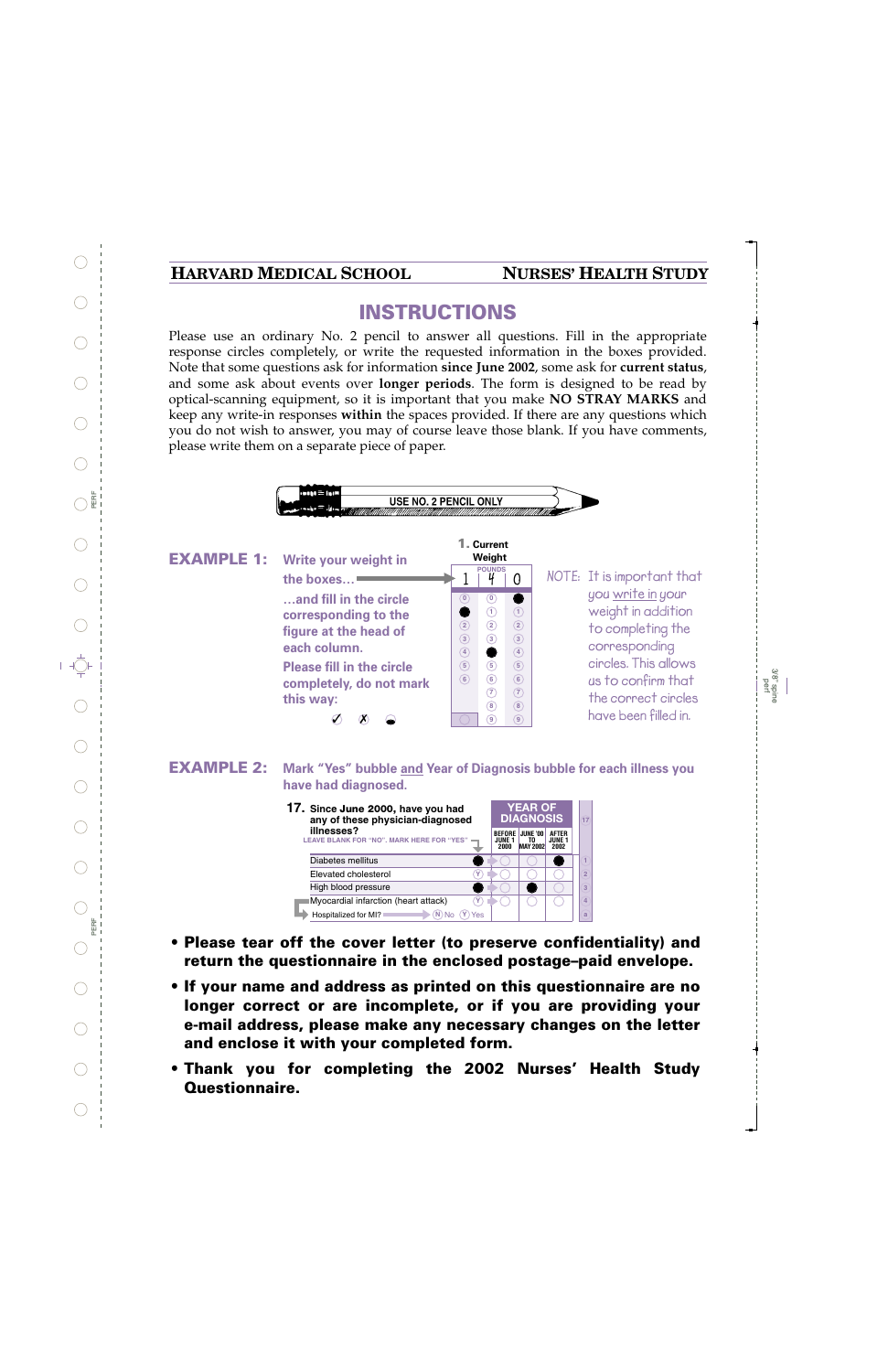## **HARVARD MEDICAL SCHOOL NURSES' HEALTH STUDY**

# **INSTRUCTIONS**

Please use an ordinary No. 2 pencil to answer all questions. Fill in the appropriate response circles completely, or write the requested information in the boxes provided. Note that some questions ask for information **since June 2002**, some ask for **current status**, and some ask about events over **longer periods**. The form is designed to be read by optical-scanning equipment, so it is important that you make **NO STRAY MARKS** and keep any write-in responses **within** the spaces provided. If there are any questions which you do not wish to answer, you may of course leave those blank. If you have comments, please write them on a separate piece of paper.



| 17. Since June 2000, have you had<br>any of these physician-diagnosed |                                 | <b>YEAR OF</b><br><b>DIAGNOSIS</b> |                                       |                |
|-----------------------------------------------------------------------|---------------------------------|------------------------------------|---------------------------------------|----------------|
| illnesses?<br>LEAVE BLANK FOR "NO", MARK HERE FOR "YES"               | <b>BEFORE</b><br>JUNF 1<br>2000 | JUNE '00<br>TO.<br><b>MAY 2002</b> | <b>AFTER</b><br><b>JUNE 1</b><br>2002 |                |
| Diabetes mellitus                                                     |                                 |                                    |                                       |                |
| Elevated cholesterol<br>٧                                             |                                 |                                    |                                       | $\overline{2}$ |
| High blood pressure                                                   |                                 |                                    |                                       | 3              |
| Myocardial infarction (heart attack)<br>٧                             |                                 |                                    |                                       | 4              |
| Hospitalized for MI?<br>Yes<br>N                                      |                                 |                                    |                                       | a              |

- **Please tear off the cover letter (to preserve confidentiality) and return the questionnaire in the enclosed postage–paid envelope.**
- **If your name and address as printed on this questionnaire are no longer correct or are incomplete, or if you are providing your e-mail address, please make any necessary changes on the letter and enclose it with your completed form.**
- **Thank you for completing the 2002 Nurses' Health Study Questionnaire.**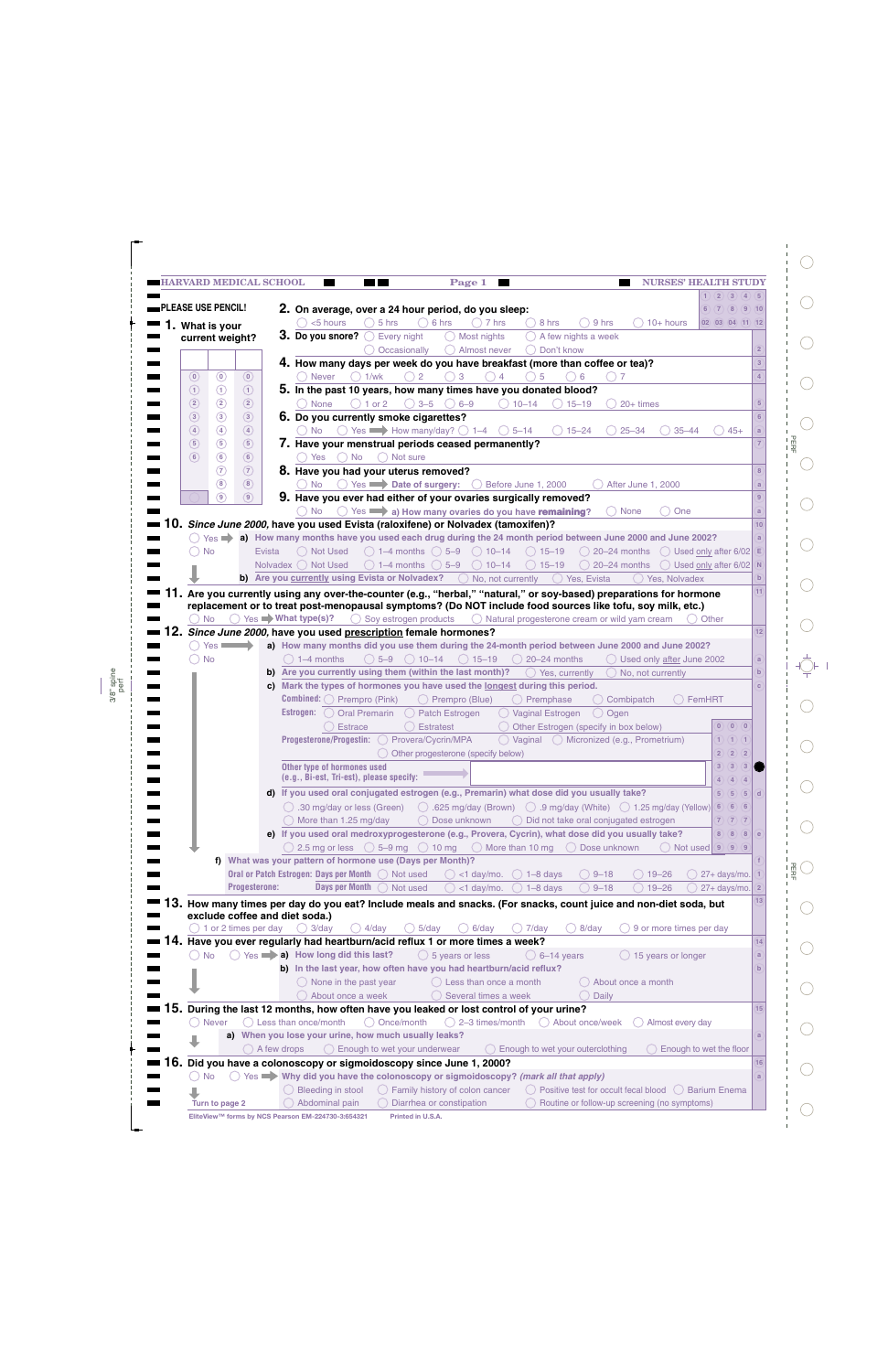|               |                           | <b>HARVARD MEDICAL SCHOOL</b>   | Page 1<br>. .                                                                                                   |                                                                                                                                            | <b>NURSES' HEALTH STUDY</b> |
|---------------|---------------------------|---------------------------------|-----------------------------------------------------------------------------------------------------------------|--------------------------------------------------------------------------------------------------------------------------------------------|-----------------------------|
|               |                           |                                 |                                                                                                                 |                                                                                                                                            | 1)(2)(3)(4)(5)              |
|               | <b>PLEASE USE PENCIL!</b> |                                 | 2. On average, over a 24 hour period, do you sleep:                                                             |                                                                                                                                            | 6)(7)(8)(9)(10)             |
|               | 1. What is your           |                                 | <5 hours<br>$\bigcirc$ 5 hrs<br>$\bigcirc$ 6 hrs                                                                | $10+$ hours<br>$()$ 7 hrs<br>8 hrs<br>9 hrs                                                                                                | $02$ $03$ $04$ $(11)$ $12$  |
|               | current weight?           |                                 | 3. Do you snore? $\bigcirc$ Every night<br>◯ Most nights                                                        | $\bigcirc$ A few nights a week                                                                                                             |                             |
|               |                           |                                 | $($ )<br>Occasionally                                                                                           | Almost never<br>( ) Don't know                                                                                                             | $\overline{2}$              |
|               |                           |                                 | 4. How many days per week do you have breakfast (more than coffee or tea)?                                      |                                                                                                                                            |                             |
| $\circ$       | $\circledcirc$            | $\left( 0\right)$               | $\bigcirc$ 1/wk<br>$\overline{2}$<br>3<br><b>Never</b>                                                          | $\overline{4}$<br>$\bigcirc$ 5<br>6                                                                                                        |                             |
| $\odot$       | $\odot$                   | $\odot$                         | 5. In the past 10 years, how many times have you donated blood?                                                 |                                                                                                                                            |                             |
| $\circled{2}$ | $\circled{2}$             | $\circled{2}$                   | $\bigcirc$ 3-5<br>$\bigcirc$ 6-9<br>None<br>$\bigcirc$ 1 or 2                                                   | $\bigcirc$ 10-14<br>$() 15 - 19$<br>$( ) 20+ \text{times}$                                                                                 | $5\overline{5}$             |
| $\circled{3}$ | $\circled{3}$             | $\circled{3}$                   | 6. Do you currently smoke cigarettes?                                                                           |                                                                                                                                            |                             |
| $\circled{4}$ | $\circled{4}$             | $\circled{4}$                   | $\circ$ Yes $\rightarrow$ How many/day? $\circ$ 1–4 $\circ$ 5–14<br>( ) No                                      | $\bigcirc$ 25–34<br>$\bigcirc$ 15–24                                                                                                       | $35 - 44$<br>$45+$          |
| $\circled{5}$ | $\circled{5}$             | $\circled{5}$                   |                                                                                                                 |                                                                                                                                            |                             |
| $\circ$       | $\circled{6}$             |                                 | 7. Have your menstrual periods ceased permanently?<br>$\bigcap$ Not sure                                        |                                                                                                                                            |                             |
|               | $\circledR$               | $\circled{6}$                   | $()$ No<br>◯ Yes i                                                                                              |                                                                                                                                            |                             |
|               |                           | $\odot$                         | 8. Have you had your uterus removed?                                                                            |                                                                                                                                            |                             |
|               | $\circled{8}$             | $\circled{8}$                   | ◯ Yes Date of surgery: ◯ Before June 1, 2000<br>No.                                                             | After June 1, 2000                                                                                                                         |                             |
|               | 9)                        | $\circ$                         | 9. Have you ever had either of your ovaries surgically removed?                                                 |                                                                                                                                            | 9                           |
|               |                           |                                 | ◯ Yes a) How many ovaries do you have remaining?<br>( ) No                                                      | ( ) None                                                                                                                                   | One<br>a                    |
|               |                           |                                 | <b>0.</b> Since June 2000, have you used Evista (raloxifene) or Nolvadex (tamoxifen)?                           |                                                                                                                                            | 10                          |
|               |                           |                                 |                                                                                                                 | $\degree$ Yes $\blacktriangleright$ a) How many months have you used each drug during the 24 month period between June 2000 and June 2002? |                             |
|               | <b>No</b>                 | Evista                          | $\bigcirc$ 1–4 months $\bigcirc$ 5–9 $\bigcirc$ 10–14<br>◯ Not Used                                             | $\bigcirc$ 15-19<br>$\bigcirc$ 20–24 months $\bigcirc$ Used only after 6/02 E                                                              |                             |
|               |                           |                                 | Nolvadex ◯ Not Used<br>$\bigcirc$ 1–4 months $\bigcirc$ 5–9                                                     | $\bigcirc$ 10–14<br>$\bigcirc$ 15-19<br>20-24 months $\bigcirc$ Used only after 6/02 N                                                     |                             |
|               |                           |                                 | b) Are you currently using Evista or Nolvadex?                                                                  | ◯ Yes, Evista<br>() No, not currently<br>Yes. Nolvadex                                                                                     | $\mathbf{b}$                |
|               |                           |                                 |                                                                                                                 | <b>11.</b> Are you currently using any over-the-counter (e.g., "herbal," "natural," or soy-based) preparations for hormone                 | 11                          |
|               |                           |                                 |                                                                                                                 | replacement or to treat post-menopausal symptoms? (Do NOT include food sources like tofu, soy milk, etc.)                                  |                             |
|               | <b>No</b>                 |                                 | $\bigcirc$ Yes $\blacktriangleright$ What type(s)?<br>$\bigcirc$ Soy estrogen products                          | $\bigcirc$ Natural progesterone cream or wild yam cream                                                                                    | ( ) Other                   |
|               |                           |                                 | 2. Since June 2000, have you used prescription female hormones?                                                 |                                                                                                                                            | 12                          |
|               | $Yes =$                   |                                 |                                                                                                                 | a) How many months did you use them during the 24-month period between June 2000 and June 2002?                                            |                             |
|               | <b>No</b>                 |                                 | $\bigcirc$ 5-9 $\bigcirc$ 10-14 $\bigcirc$ 15-19<br>$( ) 1-4$ months                                            | $\bigcirc$ 20-24 months<br>() Used only after June 2002                                                                                    | a                           |
|               |                           |                                 | b) Are you currently using them (within the last month)?                                                        | () Yes, currently<br>() No, not currently                                                                                                  | $\mathbf b$                 |
|               |                           |                                 | c) Mark the types of hormones you have used the longest during this period.                                     |                                                                                                                                            |                             |
|               |                           |                                 | <b>Combined:</b> $\bigcirc$ Prempro (Pink)<br>◯ Prempro (Blue)                                                  | () Premphase<br>() Combipatch                                                                                                              | FemHRT                      |
|               |                           |                                 | <b>Estrogen:</b> ( ) Oral Premarin<br>$\bigcirc$ Patch Estrogen                                                 | ◯ Vaginal Estrogen<br>◯ Ogen                                                                                                               |                             |
|               |                           |                                 | () Estrace<br>○ Estratest                                                                                       | Other Estrogen (specify in box below)                                                                                                      | (0)(0)(0)                   |
|               |                           |                                 | Progesterone/Progestin:<br>◯ Provera/Cycrin/MPA                                                                 | $\bigcirc$ Vaginal $\bigcirc$ Micronized (e.g., Prometrium)                                                                                | $1)$ $(1)$ $(1)$            |
|               |                           |                                 | O Other progesterone (specify below)                                                                            |                                                                                                                                            | 2)(2)(2)                    |
|               |                           |                                 | Other type of hormones used                                                                                     |                                                                                                                                            | 3)(3)(3)                    |
|               |                           |                                 | (e.g., Bi-est, Tri-est), please specify:                                                                        |                                                                                                                                            | 4)(4)(4)                    |
|               |                           |                                 | d) If you used oral conjugated estrogen (e.g., Premarin) what dose did you usually take?                        |                                                                                                                                            | (5)(5)(5)                   |
|               |                           |                                 | $\circ$ .30 mg/day or less (Green)                                                                              | $\bigcirc$ .625 mg/day (Brown) $\bigcirc$ .9 mg/day (White) $\bigcirc$ 1.25 mg/day (Yellow)                                                | 6)(6)(6)                    |
|               |                           |                                 | $\bigcirc$ More than 1.25 mg/day<br>◯ Dose unknown                                                              | ◯ Did not take oral conjugated estrogen                                                                                                    | 7)(7)(7)                    |
|               |                           |                                 |                                                                                                                 | e) If you used oral medroxyprogesterone (e.g., Provera, Cycrin), what dose did you usually take?                                           | 8(8)(8)                     |
|               |                           |                                 | $\bigcirc$ 2.5 mg or less $\bigcirc$ 5–9 mg $\bigcirc$ 10 mg $\bigcirc$ More than 10 mg $\bigcirc$ Dose unknown |                                                                                                                                            | $()$ Not used $(9)(9)(9)$   |
|               |                           |                                 | f) What was your pattern of hormone use (Days per Month)?                                                       |                                                                                                                                            |                             |
|               |                           |                                 | Oral or Patch Estrogen: Days per Month ( Not used<br>$( )$ <1 day/mo.                                           | $\bigcirc$ 1-8 days<br>$()9 - 18$<br>$() 19 - 26$                                                                                          | 27+ days/mo.                |
|               |                           | Progesterone:                   | <b>Days per Month</b><br>O Not used                                                                             | $<$ 1 day/mo.<br>$9 - 18$<br>$19 - 26$<br>$)$ 1-8 days                                                                                     | $27 + \text{days/mol}$ 2    |
|               |                           |                                 |                                                                                                                 |                                                                                                                                            | 13                          |
|               |                           |                                 | exclude coffee and diet soda.)                                                                                  | 3. How many times per day do you eat? Include meals and snacks. (For snacks, count juice and non-diet soda, but                            |                             |
|               |                           | $\bigcirc$ 1 or 2 times per day | $5$ /day<br>$()$ 3/day<br>$()$ 4/day                                                                            | $6$ /day<br>7/day<br>8/day<br>9 or more times per day                                                                                      |                             |
|               |                           |                                 | 4. Have you ever regularly had heartburn/acid reflux 1 or more times a week?                                    |                                                                                                                                            | 14                          |
|               | ○ No                      |                                 | $\bigcirc$ Yes $\rightarrow$ a) How long did this last?<br>$\bigcirc$ 5 years or less                           | $\bigcirc$ 6–14 years                                                                                                                      |                             |
|               |                           |                                 | b) In the last year, how often have you had heartburn/acid reflux?                                              | 15 years or longer                                                                                                                         | a                           |
|               |                           |                                 |                                                                                                                 |                                                                                                                                            |                             |
|               |                           |                                 | () None in the past year                                                                                        | () Less than once a month<br>() About once a month                                                                                         |                             |
|               |                           |                                 | About once a week                                                                                               | ◯ Several times a week<br>Daily                                                                                                            |                             |
|               |                           |                                 | 5. During the last 12 months, how often have you leaked or lost control of your urine?                          |                                                                                                                                            | 15                          |
|               | ( ) Never                 |                                 | ◯ Less than once/month<br>◯ Once/month                                                                          | $\bigcirc$ 2-3 times/month<br>◯ About once/week<br>() Almost every day                                                                     |                             |
|               |                           |                                 | a) When you lose your urine, how much usually leaks?                                                            |                                                                                                                                            |                             |
|               |                           |                                 | () A few drops<br>$\bigcirc$ Enough to wet your underwear                                                       | $\bigcirc$ Enough to wet your outerclothing                                                                                                | Enough to wet the floor     |
|               |                           |                                 | 6. Did you have a colonoscopy or sigmoidoscopy since June 1, 2000?                                              |                                                                                                                                            | 16                          |
|               |                           |                                 |                                                                                                                 |                                                                                                                                            |                             |
|               | <b>No</b>                 |                                 | ○ Yes ♥ Why did you have the colonoscopy or sigmoidoscopy? (mark all that apply)                                |                                                                                                                                            |                             |
|               |                           |                                 | $\bigcirc$ Family history of colon cancer<br>$\bigcirc$ Bleeding in stool                                       | ◯ Positive test for occult fecal blood ◯ Barium Enema                                                                                      |                             |

 $\mathbf{I}$ 

3/8" spine perf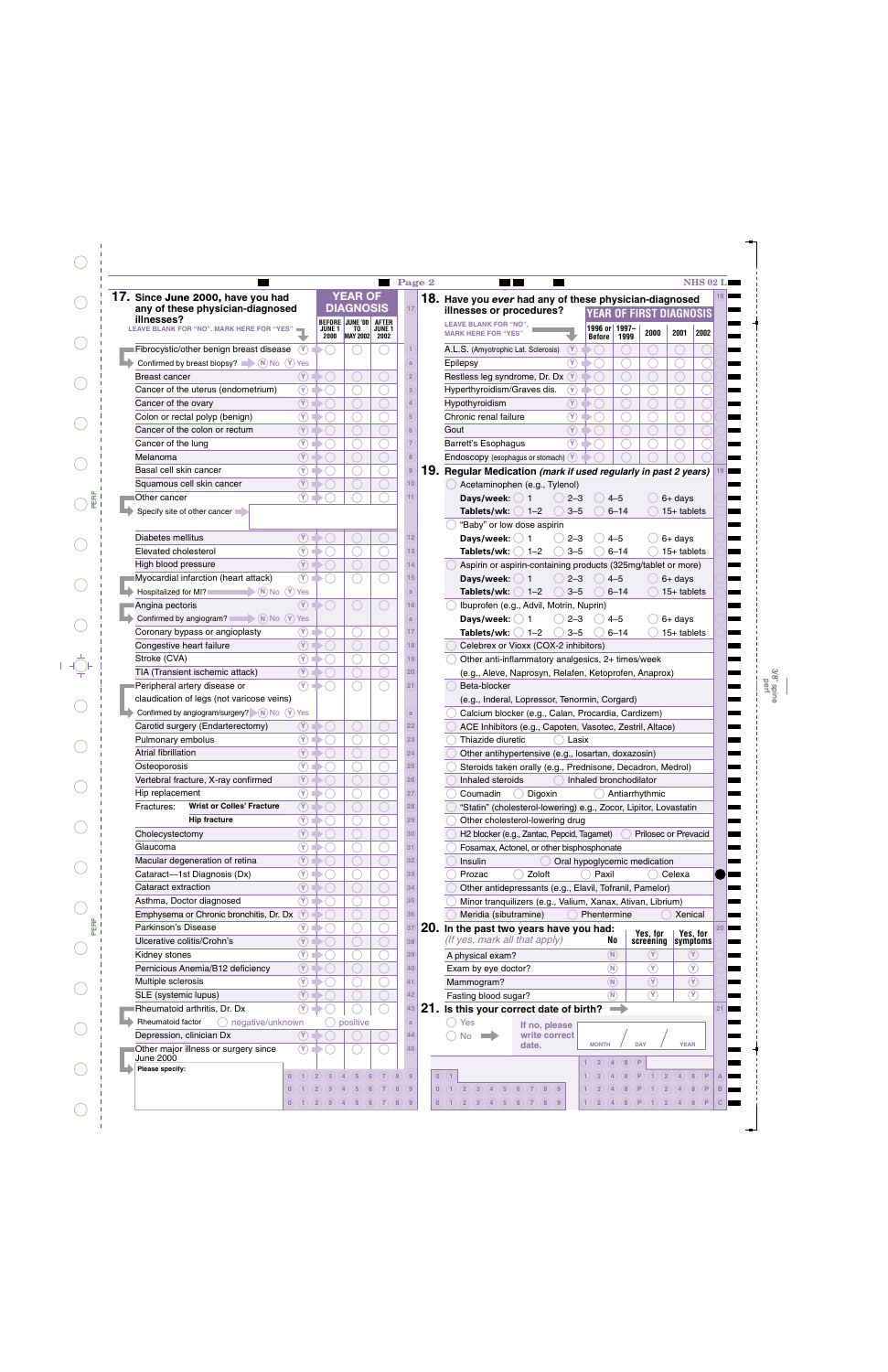|                                                              |                            |      |                                           |                  | Page 2          | <b>NHS 02 L</b>                                                                                           |
|--------------------------------------------------------------|----------------------------|------|-------------------------------------------|------------------|-----------------|-----------------------------------------------------------------------------------------------------------|
| 17. Since June 2000, have you had                            |                            |      | <b>YEAR OF</b>                            |                  |                 | 18. Have you ever had any of these physician-diagnosed                                                    |
| any of these physician-diagnosed                             |                            |      | <b>DIAGNOSIS</b>                          |                  | 17)             | illnesses or procedures?<br>OF FIRST DIAGNOSIS                                                            |
| illnesses?<br>LEAVE BLANK FOR "NO". MARK HERE FOR "YES"      |                            |      | BEFORE JUNE '00 AFTER<br>JUNE 1 TO JUNE 1 |                  |                 | <b>LEAVE BLANK FOR "NO",</b><br>1996 or 1997-                                                             |
|                                                              |                            | 2000 | MAY 2002 2002                             |                  |                 | 2000<br>2001<br>2002<br><b>MARK HERE FOR "YES"</b><br>1999<br><b>Before</b>                               |
| Fibrocystic/other benign breast disease                      | (Y)                        |      |                                           |                  |                 | $\circled{r}$<br>A.L.S. (Amyotrophic Lat. Sclerosis)                                                      |
| Confirmed by breast biopsy? $\blacksquare$ (N) No (Y) Yes    |                            |      |                                           |                  | a               | $\circledcirc$<br>Epilepsy                                                                                |
| Breast cancer                                                | $\circled{r}$              |      |                                           |                  | $\overline{2}$  | Restless leg syndrome, Dr. Dx (Y)                                                                         |
| Cancer of the uterus (endometrium)                           | $\circledcirc$             |      |                                           |                  | 3               | $\circledcirc$<br>Hyperthyroidism/Graves dis.                                                             |
| Cancer of the ovary                                          | $\circledR$                |      |                                           |                  |                 | $\circled{r}$<br>Hypothyroidism                                                                           |
| Colon or rectal polyp (benign)                               | $\circledR$                |      |                                           |                  | 5 <sup>5</sup>  | $\circledcirc$<br>Chronic renal failure                                                                   |
| Cancer of the colon or rectum                                | $(\overline{\mathsf{Y}})$  |      |                                           |                  | 6               | $\mathcal{F}$<br>Gout                                                                                     |
|                                                              |                            |      |                                           |                  |                 | $(\gamma)$                                                                                                |
| Cancer of the lung                                           | $\circledR$                |      |                                           |                  |                 | <b>Barrett's Esophagus</b>                                                                                |
| Melanoma                                                     | $\left( \mathrm{Y}\right)$ |      |                                           |                  |                 | Endoscopy (esophagus or stomach) Y                                                                        |
| Basal cell skin cancer                                       | $\circledR$                |      |                                           |                  | $9$             | 19. Regular Medication (mark if used regularly in past 2 years)                                           |
| Squamous cell skin cancer                                    | $\circled{r}$              |      |                                           |                  | 10 <sup>1</sup> | Acetaminophen (e.g., Tylenol)                                                                             |
| Other cancer                                                 | $\circledR$                |      |                                           |                  | 11 <sup>2</sup> | Days/week: $() 1$<br>$4 - 5$<br>$6+$ days<br>$2 - 3$                                                      |
| Specify site of other cancer                                 |                            |      |                                           |                  |                 | Tablets/wk: $\bigcirc$ 1-2<br>$3 - 5$<br>$6 - 14$<br>$15+$ tablets                                        |
|                                                              |                            |      |                                           |                  |                 | "Baby" or low dose aspirin                                                                                |
| Diabetes mellitus                                            | $(\overline{Y})$ 1         |      |                                           |                  | 12              | Days/week: $()$ 1<br>$2 - 3$<br>$4 - 5$<br>$6+$ days                                                      |
| Elevated cholesterol                                         | $\circledR$                |      |                                           |                  | 13              | Tablets/wk: $\bigcirc$ 1-2<br>$3 - 5$<br>$6 - 14$<br>$15+$ tablets                                        |
| High blood pressure                                          | (Y)                        |      |                                           |                  | 14              | Aspirin or aspirin-containing products (325mg/tablet or more)                                             |
|                                                              |                            |      |                                           |                  |                 |                                                                                                           |
| Myocardial infarction (heart attack)                         | $\circledcirc$             |      |                                           |                  | 15              | Days/week: $() 1$<br>$2 - 3$<br>$4 - 5$<br>$6+$ days                                                      |
| Hospitalized for MI?<br>$\blacktriangleright$ (N) No (Y) Yes |                            |      |                                           |                  | $\mathbf{a}$    | Tablets/wk: $\bigcirc$ 1-2<br>$3 - 5$<br>$6 - 14$<br>$15+$ tablets                                        |
| Angina pectoris                                              | $(\overline{Y})$           |      |                                           |                  | 16              | Ibuprofen (e.g., Advil, Motrin, Nuprin)                                                                   |
| Confirmed by angiogram? $\bigcap_{N>0} N_0$ (Y) Yes          |                            |      |                                           |                  | a               | Days/week: $() 1$<br>$2 - 3$<br>$6+$ days<br>$4 - 5$                                                      |
| Coronary bypass or angioplasty                               | $\circledcirc$             |      |                                           |                  | 17              | Tablets/wk: $\bigcirc$ 1-2<br>$3 - 5$<br>$6 - 14$<br>$15+$ tablets                                        |
| Congestive heart failure                                     | $\circled{r}$              |      |                                           |                  | 18              | Celebrex or Vioxx (COX-2 inhibitors)                                                                      |
| Stroke (CVA)                                                 | $\circledR$                |      |                                           |                  | 19              | Other anti-inflammatory analgesics, 2+ times/week                                                         |
| TIA (Transient ischemic attack)                              | $\left( \mathrm{Y}\right)$ |      |                                           |                  | 20              | (e.g., Aleve, Naprosyn, Relafen, Ketoprofen, Anaprox)                                                     |
| Peripheral artery disease or                                 | $\circledcirc$             |      |                                           |                  | (21)            | Beta-blocker                                                                                              |
|                                                              |                            |      |                                           |                  |                 |                                                                                                           |
| claudication of legs (not varicose veins)                    |                            |      |                                           |                  |                 | (e.g., Inderal, Lopressor, Tenormin, Corgard)                                                             |
| Confirmed by angiogram/surgery? N No (Y) Yes                 |                            |      |                                           |                  | $\mathbf{a}$    | Calcium blocker (e.g., Calan, Procardia, Cardizem)                                                        |
| Carotid surgery (Endarterectomy)                             | (Y)                        |      |                                           |                  | 22              | ACE Inhibitors (e.g., Capoten, Vasotec, Zestril, Altace)                                                  |
| Pulmonary embolus                                            | $\circledcirc$             |      |                                           |                  | 23              | Thiazide diuretic<br>Lasix                                                                                |
| Atrial fibrillation                                          | (Y)                        |      |                                           |                  | 24              | Other antihypertensive (e.g., losartan, doxazosin)                                                        |
| Osteoporosis                                                 | $\circledcirc$             |      |                                           |                  | 25              | Steroids taken orally (e.g., Prednisone, Decadron, Medrol)                                                |
| Vertebral fracture, X-ray confirmed                          | $\circled{r}$              |      |                                           |                  | 26              | Inhaled steroids<br>Inhaled bronchodilator                                                                |
| Hip replacement                                              | $\circledR$                |      |                                           |                  | 27              | Coumadin<br>Digoxin<br>Antiarrhythmic                                                                     |
| <b>Wrist or Colles' Fracture</b><br>Fractures:               | $\circled{r}$              |      |                                           |                  | 28              | "Statin" (cholesterol-lowering) e.g., Zocor, Lipitor, Lovastatin                                          |
| <b>Hip fracture</b>                                          | $\circledR$                |      |                                           |                  | 29              | Other cholesterol-lowering drug                                                                           |
|                                                              |                            |      |                                           |                  |                 |                                                                                                           |
| Cholecystectomy                                              | $\circled{r}$              |      |                                           |                  | 30              | H2 blocker (e.g., Zantac, Pepcid, Tagamet)<br><b>Prilosec or Prevacid</b>                                 |
| Glaucoma                                                     | $\circledR$                |      |                                           |                  | 31              | Fosamax, Actonel, or other bisphosphonate                                                                 |
| Macular degeneration of retina                               | $\circled{r}$              |      |                                           |                  | 32              | Oral hypoglycemic medication<br>Insulin                                                                   |
| Cataract-1st Diagnosis (Dx)                                  | $\circledR$                |      |                                           |                  | 33              | Zoloft<br>Prozac<br>Paxil<br>Celexa                                                                       |
| Cataract extraction                                          | $\circled{r}$              |      |                                           |                  | 34              | Other antidepressants (e.g., Elavil, Tofranil, Pamelor)                                                   |
| Asthma, Doctor diagnosed                                     | $\circledR$                |      |                                           |                  | 35              | Minor tranquilizers (e.g., Valium, Xanax, Ativan, Librium)                                                |
| Emphysema or Chronic bronchitis, Dr. Dx                      | $\left( Y\right)$          |      |                                           |                  | 36              | Meridia (sibutramine)<br>Phentermine<br>Xenical                                                           |
| Parkinson's Disease                                          | $\circledR$                |      |                                           | ∩                | $ 37\rangle$    | 20. In the past two years have you had:                                                                   |
|                                                              | $\circled{r}$              |      |                                           |                  |                 | Yes, for<br>Yes, for<br>(If yes, mark all that apply)<br>No                                               |
| Ulcerative colitis/Crohn's                                   |                            |      |                                           |                  | 38              | screening symptoms                                                                                        |
| Kidney stones                                                | $\circledR$                |      |                                           |                  | 39              | (N)<br>(Y)<br>$(\Upsilon)$<br>A physical exam?                                                            |
| Pernicious Anemia/B12 deficiency                             | $\circled{r}$              |      |                                           |                  | 40              | $\circledcirc$<br>$\circledR$<br>$\circledR$<br>Exam by eye doctor?                                       |
| Multiple sclerosis                                           | $\circledR$                |      |                                           |                  | (41)            | $\circled{r}$<br>$\circled{r}$<br>$\binom{N}{k}$<br>Mammogram?                                            |
| SLE (systemic lupus)                                         | $(\gamma)$                 |      |                                           |                  | 42              | $\circledcirc$<br>$\circledcirc$<br>$\binom{N}{N}$<br>Fasting blood sugar?                                |
| Rheumatoid arthritis, Dr. Dx                                 | $\circledR$                |      |                                           |                  | 43              | 21. Is this your correct date of birth?<br>$\rightarrow$                                                  |
|                                                              |                            |      |                                           |                  |                 |                                                                                                           |
| Rheumatoid factor<br>$\bigcirc$ negative/unknown             |                            |      | positive                                  |                  | a               | $\bigcirc$ Yes<br>If no, please                                                                           |
| Depression, clinician Dx                                     | (Y)                        |      |                                           |                  | 44              | write correct<br>( ) No<br><b>START OF BUILDING</b><br>date.<br><b>MONTH</b><br><b>DAY</b><br><b>YEAR</b> |
| Other major illness or surgery since                         | $\circledcirc$             |      |                                           |                  | 45              |                                                                                                           |
| June 2000                                                    |                            |      |                                           |                  |                 | $\left( 2\right)$<br>$\overline{4}$<br>8<br>P                                                             |
| Please specify:                                              |                            |      | 6<br>$\overline{4}$<br>5 <sup>1</sup>     | $\overline{7}$   | $\overline{8}$  | $\overline{0}$<br>$\vert$ 2<br>8<br>$\sqrt{4}$                                                            |
|                                                              |                            |      |                                           |                  |                 |                                                                                                           |
|                                                              |                            | 3    | 5 <sup>5</sup><br>6<br>$\left( 4 \right)$ | $\left(7\right)$ | 8)(9            | (2)(3)(4)(5)(6)(7)(8)(9)<br>$\sqrt{2}$<br>$\left( 4 \right)$<br>$\left  8 \right $<br>P                   |

3/8" spine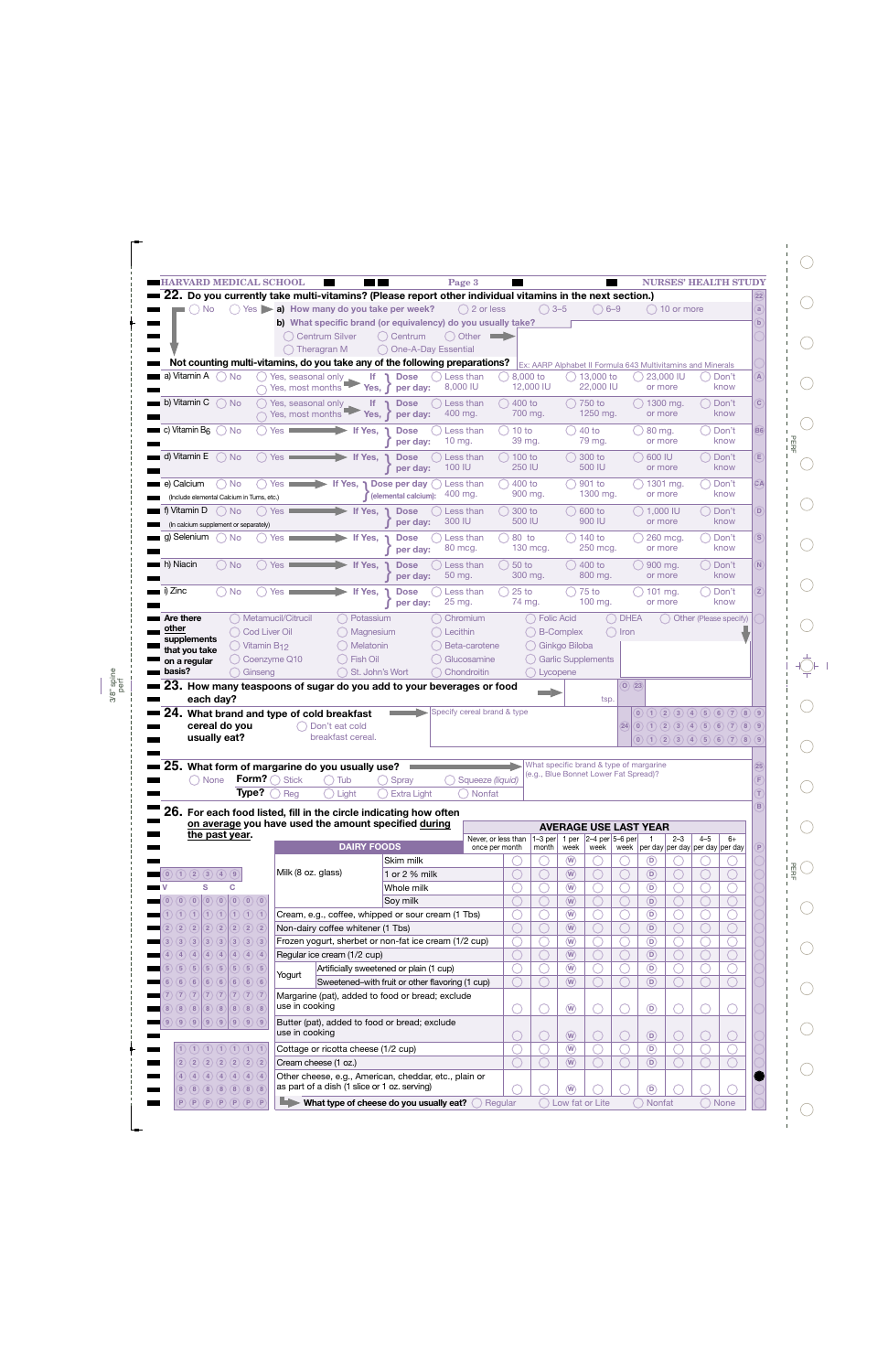| $()$ 3–5<br>$\langle \ \rangle$ Yes $\blacktriangleright$ a) How many do you take per week?<br>$( ) 2$ or less<br><b>No</b><br>b) What specific brand (or equivalency) do you usually take?<br>( ) Other<br>$\qquad \qquad \Longrightarrow$<br><b>Centrum Silver</b><br>() Centrum<br><b>One-A-Day Essential</b><br>Theragran M<br>Not counting multi-vitamins, do you take any of the following preparations?<br>a) Vitamin A<br><b>No</b><br>8,000 to<br>13,000 to<br>Yes, seasonal only<br><b>Dose</b><br>Less than<br>$\Box$<br>lf.<br>8,000 IU<br>12,000 IU<br>22,000 IU<br>Yes, most months<br>Yes,<br>per day:<br>b) Vitamin C<br>$()$ No<br>Yes, seasonal only<br>Less than<br>$( ) 400$ to<br>750 to<br><b>If</b><br><b>Dose</b><br>Yes, most months<br>700 mg.<br>1250 mg.<br>400 mg.<br>Yes,<br>per day:<br>c) Vitamin $Bf$<br>$\left( \begin{array}{c} \end{array} \right)$<br><b>No</b><br>$40$ to<br>Yes:<br>If Yes,<br>Less than<br>10 to<br>Dose<br>$10$ mg.<br>39 mg.<br>79 mg.<br>per day:<br>d) Vitamin E<br>◯ No<br>300 to<br>Yes<br>If Yes,<br>Less than<br>100 to<br><b>Dose</b><br>250 IU<br>100 IU<br>500 IU<br>per day:<br>e) Calcium<br><b>No</b><br>400 to<br>901 to<br>Yes<br>If Yes. 1 Dose per dav<br>Less than<br>400 mg.<br>900 mg.<br>1300 mg.<br>(elemental calcium):<br>(Include elemental Calcium in Tums, etc.)<br>f) Vitamin D<br><b>No</b><br>If Yes,<br>Less than<br>300 to<br>600 to<br><b>Yes</b><br><b>Dose</b><br>300 IU<br>500 IU<br>900 IU<br>per day:<br>(In calcium supplement or separately)<br>g) Selenium<br>If Yes,<br>80 to<br>140 to<br><b>No</b><br>Yes<br><b>Dose</b><br>Less than<br>250 mcg.<br>80 mcg.<br>130 mcg.<br>per day:<br>h) Niacin<br>$\bigcirc$ No<br>If Yes,<br>Less than<br>50 to<br>400 to<br>Yes<br><b>Dose</b>                                                                                                                                                                                                                                                                                                                                                                                                                                                                                                                                                                                                                                                                                                                                                                                                                                                                                                                                                                                                                                                                                                                                                                                                                                                                                                                                                                                                                                                                                                                                                                                                                                                                                                                                                | $( ) 10$ or more<br>23,000 IU<br>Don't<br>know<br>or more<br>Don't<br>1300 mg.<br>know<br>or more<br>80 mg.<br>Don't<br>know<br>or more<br>600 IU<br>Don't<br>know<br>or more<br>1301 mg.<br>Don't<br>know<br>or more<br>1,000 IU<br>Don't<br>know<br>or more |
|-----------------------------------------------------------------------------------------------------------------------------------------------------------------------------------------------------------------------------------------------------------------------------------------------------------------------------------------------------------------------------------------------------------------------------------------------------------------------------------------------------------------------------------------------------------------------------------------------------------------------------------------------------------------------------------------------------------------------------------------------------------------------------------------------------------------------------------------------------------------------------------------------------------------------------------------------------------------------------------------------------------------------------------------------------------------------------------------------------------------------------------------------------------------------------------------------------------------------------------------------------------------------------------------------------------------------------------------------------------------------------------------------------------------------------------------------------------------------------------------------------------------------------------------------------------------------------------------------------------------------------------------------------------------------------------------------------------------------------------------------------------------------------------------------------------------------------------------------------------------------------------------------------------------------------------------------------------------------------------------------------------------------------------------------------------------------------------------------------------------------------------------------------------------------------------------------------------------------------------------------------------------------------------------------------------------------------------------------------------------------------------------------------------------------------------------------------------------------------------------------------------------------------------------------------------------------------------------------------------------------------------------------------------------------------------------------------------------------------------------------------------------------------------------------------------------------------------------------------------------------------------------------------------------------------------------------------------------------------------------------------------------------------------------------------------------------------------------------------------------------------------------------------------------------------------------------------------------------------------------------------------------------------------------------------------------------------------------------------------------------------------------------------------------------------------------------------------------------------------------------------------------------------------------|---------------------------------------------------------------------------------------------------------------------------------------------------------------------------------------------------------------------------------------------------------------|
|                                                                                                                                                                                                                                                                                                                                                                                                                                                                                                                                                                                                                                                                                                                                                                                                                                                                                                                                                                                                                                                                                                                                                                                                                                                                                                                                                                                                                                                                                                                                                                                                                                                                                                                                                                                                                                                                                                                                                                                                                                                                                                                                                                                                                                                                                                                                                                                                                                                                                                                                                                                                                                                                                                                                                                                                                                                                                                                                                                                                                                                                                                                                                                                                                                                                                                                                                                                                                                                                                                                                         |                                                                                                                                                                                                                                                               |
|                                                                                                                                                                                                                                                                                                                                                                                                                                                                                                                                                                                                                                                                                                                                                                                                                                                                                                                                                                                                                                                                                                                                                                                                                                                                                                                                                                                                                                                                                                                                                                                                                                                                                                                                                                                                                                                                                                                                                                                                                                                                                                                                                                                                                                                                                                                                                                                                                                                                                                                                                                                                                                                                                                                                                                                                                                                                                                                                                                                                                                                                                                                                                                                                                                                                                                                                                                                                                                                                                                                                         |                                                                                                                                                                                                                                                               |
|                                                                                                                                                                                                                                                                                                                                                                                                                                                                                                                                                                                                                                                                                                                                                                                                                                                                                                                                                                                                                                                                                                                                                                                                                                                                                                                                                                                                                                                                                                                                                                                                                                                                                                                                                                                                                                                                                                                                                                                                                                                                                                                                                                                                                                                                                                                                                                                                                                                                                                                                                                                                                                                                                                                                                                                                                                                                                                                                                                                                                                                                                                                                                                                                                                                                                                                                                                                                                                                                                                                                         |                                                                                                                                                                                                                                                               |
|                                                                                                                                                                                                                                                                                                                                                                                                                                                                                                                                                                                                                                                                                                                                                                                                                                                                                                                                                                                                                                                                                                                                                                                                                                                                                                                                                                                                                                                                                                                                                                                                                                                                                                                                                                                                                                                                                                                                                                                                                                                                                                                                                                                                                                                                                                                                                                                                                                                                                                                                                                                                                                                                                                                                                                                                                                                                                                                                                                                                                                                                                                                                                                                                                                                                                                                                                                                                                                                                                                                                         |                                                                                                                                                                                                                                                               |
|                                                                                                                                                                                                                                                                                                                                                                                                                                                                                                                                                                                                                                                                                                                                                                                                                                                                                                                                                                                                                                                                                                                                                                                                                                                                                                                                                                                                                                                                                                                                                                                                                                                                                                                                                                                                                                                                                                                                                                                                                                                                                                                                                                                                                                                                                                                                                                                                                                                                                                                                                                                                                                                                                                                                                                                                                                                                                                                                                                                                                                                                                                                                                                                                                                                                                                                                                                                                                                                                                                                                         |                                                                                                                                                                                                                                                               |
|                                                                                                                                                                                                                                                                                                                                                                                                                                                                                                                                                                                                                                                                                                                                                                                                                                                                                                                                                                                                                                                                                                                                                                                                                                                                                                                                                                                                                                                                                                                                                                                                                                                                                                                                                                                                                                                                                                                                                                                                                                                                                                                                                                                                                                                                                                                                                                                                                                                                                                                                                                                                                                                                                                                                                                                                                                                                                                                                                                                                                                                                                                                                                                                                                                                                                                                                                                                                                                                                                                                                         |                                                                                                                                                                                                                                                               |
|                                                                                                                                                                                                                                                                                                                                                                                                                                                                                                                                                                                                                                                                                                                                                                                                                                                                                                                                                                                                                                                                                                                                                                                                                                                                                                                                                                                                                                                                                                                                                                                                                                                                                                                                                                                                                                                                                                                                                                                                                                                                                                                                                                                                                                                                                                                                                                                                                                                                                                                                                                                                                                                                                                                                                                                                                                                                                                                                                                                                                                                                                                                                                                                                                                                                                                                                                                                                                                                                                                                                         |                                                                                                                                                                                                                                                               |
|                                                                                                                                                                                                                                                                                                                                                                                                                                                                                                                                                                                                                                                                                                                                                                                                                                                                                                                                                                                                                                                                                                                                                                                                                                                                                                                                                                                                                                                                                                                                                                                                                                                                                                                                                                                                                                                                                                                                                                                                                                                                                                                                                                                                                                                                                                                                                                                                                                                                                                                                                                                                                                                                                                                                                                                                                                                                                                                                                                                                                                                                                                                                                                                                                                                                                                                                                                                                                                                                                                                                         |                                                                                                                                                                                                                                                               |
|                                                                                                                                                                                                                                                                                                                                                                                                                                                                                                                                                                                                                                                                                                                                                                                                                                                                                                                                                                                                                                                                                                                                                                                                                                                                                                                                                                                                                                                                                                                                                                                                                                                                                                                                                                                                                                                                                                                                                                                                                                                                                                                                                                                                                                                                                                                                                                                                                                                                                                                                                                                                                                                                                                                                                                                                                                                                                                                                                                                                                                                                                                                                                                                                                                                                                                                                                                                                                                                                                                                                         |                                                                                                                                                                                                                                                               |
|                                                                                                                                                                                                                                                                                                                                                                                                                                                                                                                                                                                                                                                                                                                                                                                                                                                                                                                                                                                                                                                                                                                                                                                                                                                                                                                                                                                                                                                                                                                                                                                                                                                                                                                                                                                                                                                                                                                                                                                                                                                                                                                                                                                                                                                                                                                                                                                                                                                                                                                                                                                                                                                                                                                                                                                                                                                                                                                                                                                                                                                                                                                                                                                                                                                                                                                                                                                                                                                                                                                                         |                                                                                                                                                                                                                                                               |
|                                                                                                                                                                                                                                                                                                                                                                                                                                                                                                                                                                                                                                                                                                                                                                                                                                                                                                                                                                                                                                                                                                                                                                                                                                                                                                                                                                                                                                                                                                                                                                                                                                                                                                                                                                                                                                                                                                                                                                                                                                                                                                                                                                                                                                                                                                                                                                                                                                                                                                                                                                                                                                                                                                                                                                                                                                                                                                                                                                                                                                                                                                                                                                                                                                                                                                                                                                                                                                                                                                                                         |                                                                                                                                                                                                                                                               |
|                                                                                                                                                                                                                                                                                                                                                                                                                                                                                                                                                                                                                                                                                                                                                                                                                                                                                                                                                                                                                                                                                                                                                                                                                                                                                                                                                                                                                                                                                                                                                                                                                                                                                                                                                                                                                                                                                                                                                                                                                                                                                                                                                                                                                                                                                                                                                                                                                                                                                                                                                                                                                                                                                                                                                                                                                                                                                                                                                                                                                                                                                                                                                                                                                                                                                                                                                                                                                                                                                                                                         |                                                                                                                                                                                                                                                               |
|                                                                                                                                                                                                                                                                                                                                                                                                                                                                                                                                                                                                                                                                                                                                                                                                                                                                                                                                                                                                                                                                                                                                                                                                                                                                                                                                                                                                                                                                                                                                                                                                                                                                                                                                                                                                                                                                                                                                                                                                                                                                                                                                                                                                                                                                                                                                                                                                                                                                                                                                                                                                                                                                                                                                                                                                                                                                                                                                                                                                                                                                                                                                                                                                                                                                                                                                                                                                                                                                                                                                         |                                                                                                                                                                                                                                                               |
|                                                                                                                                                                                                                                                                                                                                                                                                                                                                                                                                                                                                                                                                                                                                                                                                                                                                                                                                                                                                                                                                                                                                                                                                                                                                                                                                                                                                                                                                                                                                                                                                                                                                                                                                                                                                                                                                                                                                                                                                                                                                                                                                                                                                                                                                                                                                                                                                                                                                                                                                                                                                                                                                                                                                                                                                                                                                                                                                                                                                                                                                                                                                                                                                                                                                                                                                                                                                                                                                                                                                         |                                                                                                                                                                                                                                                               |
|                                                                                                                                                                                                                                                                                                                                                                                                                                                                                                                                                                                                                                                                                                                                                                                                                                                                                                                                                                                                                                                                                                                                                                                                                                                                                                                                                                                                                                                                                                                                                                                                                                                                                                                                                                                                                                                                                                                                                                                                                                                                                                                                                                                                                                                                                                                                                                                                                                                                                                                                                                                                                                                                                                                                                                                                                                                                                                                                                                                                                                                                                                                                                                                                                                                                                                                                                                                                                                                                                                                                         |                                                                                                                                                                                                                                                               |
|                                                                                                                                                                                                                                                                                                                                                                                                                                                                                                                                                                                                                                                                                                                                                                                                                                                                                                                                                                                                                                                                                                                                                                                                                                                                                                                                                                                                                                                                                                                                                                                                                                                                                                                                                                                                                                                                                                                                                                                                                                                                                                                                                                                                                                                                                                                                                                                                                                                                                                                                                                                                                                                                                                                                                                                                                                                                                                                                                                                                                                                                                                                                                                                                                                                                                                                                                                                                                                                                                                                                         |                                                                                                                                                                                                                                                               |
|                                                                                                                                                                                                                                                                                                                                                                                                                                                                                                                                                                                                                                                                                                                                                                                                                                                                                                                                                                                                                                                                                                                                                                                                                                                                                                                                                                                                                                                                                                                                                                                                                                                                                                                                                                                                                                                                                                                                                                                                                                                                                                                                                                                                                                                                                                                                                                                                                                                                                                                                                                                                                                                                                                                                                                                                                                                                                                                                                                                                                                                                                                                                                                                                                                                                                                                                                                                                                                                                                                                                         |                                                                                                                                                                                                                                                               |
|                                                                                                                                                                                                                                                                                                                                                                                                                                                                                                                                                                                                                                                                                                                                                                                                                                                                                                                                                                                                                                                                                                                                                                                                                                                                                                                                                                                                                                                                                                                                                                                                                                                                                                                                                                                                                                                                                                                                                                                                                                                                                                                                                                                                                                                                                                                                                                                                                                                                                                                                                                                                                                                                                                                                                                                                                                                                                                                                                                                                                                                                                                                                                                                                                                                                                                                                                                                                                                                                                                                                         |                                                                                                                                                                                                                                                               |
|                                                                                                                                                                                                                                                                                                                                                                                                                                                                                                                                                                                                                                                                                                                                                                                                                                                                                                                                                                                                                                                                                                                                                                                                                                                                                                                                                                                                                                                                                                                                                                                                                                                                                                                                                                                                                                                                                                                                                                                                                                                                                                                                                                                                                                                                                                                                                                                                                                                                                                                                                                                                                                                                                                                                                                                                                                                                                                                                                                                                                                                                                                                                                                                                                                                                                                                                                                                                                                                                                                                                         | 260 mcg.<br>Don't                                                                                                                                                                                                                                             |
|                                                                                                                                                                                                                                                                                                                                                                                                                                                                                                                                                                                                                                                                                                                                                                                                                                                                                                                                                                                                                                                                                                                                                                                                                                                                                                                                                                                                                                                                                                                                                                                                                                                                                                                                                                                                                                                                                                                                                                                                                                                                                                                                                                                                                                                                                                                                                                                                                                                                                                                                                                                                                                                                                                                                                                                                                                                                                                                                                                                                                                                                                                                                                                                                                                                                                                                                                                                                                                                                                                                                         | know<br>or more                                                                                                                                                                                                                                               |
|                                                                                                                                                                                                                                                                                                                                                                                                                                                                                                                                                                                                                                                                                                                                                                                                                                                                                                                                                                                                                                                                                                                                                                                                                                                                                                                                                                                                                                                                                                                                                                                                                                                                                                                                                                                                                                                                                                                                                                                                                                                                                                                                                                                                                                                                                                                                                                                                                                                                                                                                                                                                                                                                                                                                                                                                                                                                                                                                                                                                                                                                                                                                                                                                                                                                                                                                                                                                                                                                                                                                         | 900 mg.<br>Don't                                                                                                                                                                                                                                              |
| per day:                                                                                                                                                                                                                                                                                                                                                                                                                                                                                                                                                                                                                                                                                                                                                                                                                                                                                                                                                                                                                                                                                                                                                                                                                                                                                                                                                                                                                                                                                                                                                                                                                                                                                                                                                                                                                                                                                                                                                                                                                                                                                                                                                                                                                                                                                                                                                                                                                                                                                                                                                                                                                                                                                                                                                                                                                                                                                                                                                                                                                                                                                                                                                                                                                                                                                                                                                                                                                                                                                                                                | know<br>or more                                                                                                                                                                                                                                               |
| <b>No</b><br>If Yes,<br>25 <sub>to</sub><br>75 to<br>Yes<br><b>Dose</b><br>Less than                                                                                                                                                                                                                                                                                                                                                                                                                                                                                                                                                                                                                                                                                                                                                                                                                                                                                                                                                                                                                                                                                                                                                                                                                                                                                                                                                                                                                                                                                                                                                                                                                                                                                                                                                                                                                                                                                                                                                                                                                                                                                                                                                                                                                                                                                                                                                                                                                                                                                                                                                                                                                                                                                                                                                                                                                                                                                                                                                                                                                                                                                                                                                                                                                                                                                                                                                                                                                                                    | Don't<br>$101$ mg.                                                                                                                                                                                                                                            |
| 25 mg.<br>74 mg.<br>$100$ mg.<br>per day:                                                                                                                                                                                                                                                                                                                                                                                                                                                                                                                                                                                                                                                                                                                                                                                                                                                                                                                                                                                                                                                                                                                                                                                                                                                                                                                                                                                                                                                                                                                                                                                                                                                                                                                                                                                                                                                                                                                                                                                                                                                                                                                                                                                                                                                                                                                                                                                                                                                                                                                                                                                                                                                                                                                                                                                                                                                                                                                                                                                                                                                                                                                                                                                                                                                                                                                                                                                                                                                                                               | know<br>or more                                                                                                                                                                                                                                               |
| Metamucil/Citrucil<br><b>Folic Acid</b><br>Potassium<br>Chromium                                                                                                                                                                                                                                                                                                                                                                                                                                                                                                                                                                                                                                                                                                                                                                                                                                                                                                                                                                                                                                                                                                                                                                                                                                                                                                                                                                                                                                                                                                                                                                                                                                                                                                                                                                                                                                                                                                                                                                                                                                                                                                                                                                                                                                                                                                                                                                                                                                                                                                                                                                                                                                                                                                                                                                                                                                                                                                                                                                                                                                                                                                                                                                                                                                                                                                                                                                                                                                                                        |                                                                                                                                                                                                                                                               |
| <b>HARVARD MEDICAL SCHOOL</b><br>Page 3<br>22. Do you currently take multi-vitamins? (Please report other individual vitamins in the next section.)<br>$( ) 6 - 9$<br>300 mg.<br>800 mg.<br>50 mg.<br>i) Zinc<br>Are there<br><b>DHEA</b><br>other<br>() Cod Liver Oil<br><b>B-Complex</b><br>Magnesium<br>Lecithin<br>$)$ Iron<br>supplements<br>$()$ Vitamin B <sub>12</sub><br>Ginkgo Biloba<br><b>Melatonin</b><br>Beta-carotene<br>that you take<br>Coenzyme Q10<br>Fish Oil<br><b>Garlic Supplements</b><br>Glucosamine<br>on a regular<br>basis?<br>St. John's Wort<br>Chondroitin<br>Ginseng<br>Lycopene<br>23. How many teaspoons of sugar do you add to your beverages or food<br>O(23)<br>each day?<br>tsp.<br>Specify cereal brand & type<br>24. What brand and type of cold breakfast<br>cereal do you<br>Don't eat cold<br>(24)<br>breakfast cereal.<br>usually eat?<br>25. What form of margarine do you usually use?<br>What specific brand & type of margarine<br>(e.g., Blue Bonnet Lower Fat Spread)?<br>Form? $\bigcap$ Stick<br>None<br>Tub<br>Spray<br>Squeeze (liquid)<br>Type?<br>Reg<br><b>Extra Light</b><br>Light<br>Nonfat<br>26. For each food listed, fill in the circle indicating how often<br>on average you have used the amount specified during<br><b>AVERAGE USE LAST YEAR</b><br>the past year.<br>2-4 per 5-6 per<br>$2 - 3$<br>$4 - 5$<br>Never, or less than<br>$\overline{1}$<br>$1 - 3$ per<br>1 per<br><b>DAIRY FOODS</b><br>once per month<br>month<br>week<br>week<br>$\circledR$<br>$\circledcirc$<br>Skim milk<br>Milk (8 oz. glass)<br>$\circledR$<br>$\circledR$<br>(1)(2)(3)(4)(9)<br>1 or 2 % milk<br>$\bf{0}$<br>$\circledR$<br>$\circledR$<br>S<br>Whole milk<br>с<br>$\circledR$<br>$\circledR$<br>$\left( 0\right)$<br>$\bigcirc$ $\bigcirc$<br>Soy milk<br>$\circledR$<br>$\circledR$<br>(1)(1)<br>(1)(1)(1)<br>Cream, e.g., coffee, whipped or sour cream (1 Tbs)<br>$\left( 1\right)$<br>(1)<br>$\circledR$<br>$\circledR$<br>(2)(2)<br>$\overline{2}$<br>(2)<br>(2)(2)(2)<br>Non-dairy coffee whitener (1 Tbs)<br>$\circledR$<br>$\circledR$<br>$\left( 3\right)$ $\left( 3\right)$<br>$\sqrt{3}$<br>$\left(3\right)$<br>(3)(3)(3)<br>Frozen yogurt, sherbet or non-fat ice cream (1/2 cup)<br>$\circledR$<br>$\circledR$<br>$\left(4\right)$ $\left(4\right)$<br>(4)(4)(4)<br>Regular ice cream (1/2 cup)<br>$\overline{4}$<br>$\left( 4\right)$<br>$\circledR$<br>$\circledR$<br>$\binom{5}{ }$<br>$\overline{5}$<br>$\left(5\right)$<br>(5)<br>$\left(5\right)$<br>(5)(5)<br>Artificially sweetened or plain (1 cup)<br>Yogurt<br>$\circledR$<br>$\circledcirc$<br>(6)(6)<br>6<br>(6)(6)(6)<br>Sweetened-with fruit or other flavoring (1 cup)<br>(6)<br>$\left( 7\right)$<br>7)(7)(7)<br>$\overline{7}$<br>(7)<br>(7)<br>Margarine (pat), added to food or bread; exclude<br>use in cooking<br>$\left( \frac{8}{3} \right)$<br>$\circledR$<br>$\circledcirc$<br>$\overline{8}$<br>$\left( 8\right)$<br>$\left( 8\right)$<br>(8)(8)<br>(9)(9)(9)<br>(9)(9)(9)<br>Butter (pat), added to food or bread; exclude<br>$\boxed{9}$<br>9)<br>use in cooking<br>$\circled{w}$<br>$\circledcirc$<br>$\circledcirc$<br>$\circledR$<br>Cottage or ricotta cheese (1/2 cup)<br>1)(1)(1)(1)(1)(1)(1)(1)<br>$\circledR$<br>2) (2) (2) (2) (2) (2) (2)<br>$\circledR$<br>Cream cheese (1 oz.)<br>(4)(4)(4)(4)(4)(4)<br>Other cheese, e.g., American, cheddar, etc., plain or<br>as part of a dish (1 slice or 1 oz. serving)<br>$\binom{w}{k}$<br>$\circledcirc$<br>(8)(8)(8)(8)(8)(8) |                                                                                                                                                                                                                                                               |
|                                                                                                                                                                                                                                                                                                                                                                                                                                                                                                                                                                                                                                                                                                                                                                                                                                                                                                                                                                                                                                                                                                                                                                                                                                                                                                                                                                                                                                                                                                                                                                                                                                                                                                                                                                                                                                                                                                                                                                                                                                                                                                                                                                                                                                                                                                                                                                                                                                                                                                                                                                                                                                                                                                                                                                                                                                                                                                                                                                                                                                                                                                                                                                                                                                                                                                                                                                                                                                                                                                                                         |                                                                                                                                                                                                                                                               |
|                                                                                                                                                                                                                                                                                                                                                                                                                                                                                                                                                                                                                                                                                                                                                                                                                                                                                                                                                                                                                                                                                                                                                                                                                                                                                                                                                                                                                                                                                                                                                                                                                                                                                                                                                                                                                                                                                                                                                                                                                                                                                                                                                                                                                                                                                                                                                                                                                                                                                                                                                                                                                                                                                                                                                                                                                                                                                                                                                                                                                                                                                                                                                                                                                                                                                                                                                                                                                                                                                                                                         |                                                                                                                                                                                                                                                               |
|                                                                                                                                                                                                                                                                                                                                                                                                                                                                                                                                                                                                                                                                                                                                                                                                                                                                                                                                                                                                                                                                                                                                                                                                                                                                                                                                                                                                                                                                                                                                                                                                                                                                                                                                                                                                                                                                                                                                                                                                                                                                                                                                                                                                                                                                                                                                                                                                                                                                                                                                                                                                                                                                                                                                                                                                                                                                                                                                                                                                                                                                                                                                                                                                                                                                                                                                                                                                                                                                                                                                         |                                                                                                                                                                                                                                                               |
|                                                                                                                                                                                                                                                                                                                                                                                                                                                                                                                                                                                                                                                                                                                                                                                                                                                                                                                                                                                                                                                                                                                                                                                                                                                                                                                                                                                                                                                                                                                                                                                                                                                                                                                                                                                                                                                                                                                                                                                                                                                                                                                                                                                                                                                                                                                                                                                                                                                                                                                                                                                                                                                                                                                                                                                                                                                                                                                                                                                                                                                                                                                                                                                                                                                                                                                                                                                                                                                                                                                                         |                                                                                                                                                                                                                                                               |
|                                                                                                                                                                                                                                                                                                                                                                                                                                                                                                                                                                                                                                                                                                                                                                                                                                                                                                                                                                                                                                                                                                                                                                                                                                                                                                                                                                                                                                                                                                                                                                                                                                                                                                                                                                                                                                                                                                                                                                                                                                                                                                                                                                                                                                                                                                                                                                                                                                                                                                                                                                                                                                                                                                                                                                                                                                                                                                                                                                                                                                                                                                                                                                                                                                                                                                                                                                                                                                                                                                                                         |                                                                                                                                                                                                                                                               |
| Ex: AARP Alphabet II Formula 643 Multivitamins and Minerals<br>$6+$                                                                                                                                                                                                                                                                                                                                                                                                                                                                                                                                                                                                                                                                                                                                                                                                                                                                                                                                                                                                                                                                                                                                                                                                                                                                                                                                                                                                                                                                                                                                                                                                                                                                                                                                                                                                                                                                                                                                                                                                                                                                                                                                                                                                                                                                                                                                                                                                                                                                                                                                                                                                                                                                                                                                                                                                                                                                                                                                                                                                                                                                                                                                                                                                                                                                                                                                                                                                                                                                     |                                                                                                                                                                                                                                                               |
|                                                                                                                                                                                                                                                                                                                                                                                                                                                                                                                                                                                                                                                                                                                                                                                                                                                                                                                                                                                                                                                                                                                                                                                                                                                                                                                                                                                                                                                                                                                                                                                                                                                                                                                                                                                                                                                                                                                                                                                                                                                                                                                                                                                                                                                                                                                                                                                                                                                                                                                                                                                                                                                                                                                                                                                                                                                                                                                                                                                                                                                                                                                                                                                                                                                                                                                                                                                                                                                                                                                                         |                                                                                                                                                                                                                                                               |
|                                                                                                                                                                                                                                                                                                                                                                                                                                                                                                                                                                                                                                                                                                                                                                                                                                                                                                                                                                                                                                                                                                                                                                                                                                                                                                                                                                                                                                                                                                                                                                                                                                                                                                                                                                                                                                                                                                                                                                                                                                                                                                                                                                                                                                                                                                                                                                                                                                                                                                                                                                                                                                                                                                                                                                                                                                                                                                                                                                                                                                                                                                                                                                                                                                                                                                                                                                                                                                                                                                                                         |                                                                                                                                                                                                                                                               |
|                                                                                                                                                                                                                                                                                                                                                                                                                                                                                                                                                                                                                                                                                                                                                                                                                                                                                                                                                                                                                                                                                                                                                                                                                                                                                                                                                                                                                                                                                                                                                                                                                                                                                                                                                                                                                                                                                                                                                                                                                                                                                                                                                                                                                                                                                                                                                                                                                                                                                                                                                                                                                                                                                                                                                                                                                                                                                                                                                                                                                                                                                                                                                                                                                                                                                                                                                                                                                                                                                                                                         |                                                                                                                                                                                                                                                               |
|                                                                                                                                                                                                                                                                                                                                                                                                                                                                                                                                                                                                                                                                                                                                                                                                                                                                                                                                                                                                                                                                                                                                                                                                                                                                                                                                                                                                                                                                                                                                                                                                                                                                                                                                                                                                                                                                                                                                                                                                                                                                                                                                                                                                                                                                                                                                                                                                                                                                                                                                                                                                                                                                                                                                                                                                                                                                                                                                                                                                                                                                                                                                                                                                                                                                                                                                                                                                                                                                                                                                         |                                                                                                                                                                                                                                                               |
| Other (Please specify)<br>week   per day   per day   per day   per day<br>What type of cheese do you usually eat?<br>P(P(P)(P)(P)(P)(P)<br>Low fat or Lite<br>Nonfat<br>Regular<br>None                                                                                                                                                                                                                                                                                                                                                                                                                                                                                                                                                                                                                                                                                                                                                                                                                                                                                                                                                                                                                                                                                                                                                                                                                                                                                                                                                                                                                                                                                                                                                                                                                                                                                                                                                                                                                                                                                                                                                                                                                                                                                                                                                                                                                                                                                                                                                                                                                                                                                                                                                                                                                                                                                                                                                                                                                                                                                                                                                                                                                                                                                                                                                                                                                                                                                                                                                 |                                                                                                                                                                                                                                                               |
|                                                                                                                                                                                                                                                                                                                                                                                                                                                                                                                                                                                                                                                                                                                                                                                                                                                                                                                                                                                                                                                                                                                                                                                                                                                                                                                                                                                                                                                                                                                                                                                                                                                                                                                                                                                                                                                                                                                                                                                                                                                                                                                                                                                                                                                                                                                                                                                                                                                                                                                                                                                                                                                                                                                                                                                                                                                                                                                                                                                                                                                                                                                                                                                                                                                                                                                                                                                                                                                                                                                                         |                                                                                                                                                                                                                                                               |
|                                                                                                                                                                                                                                                                                                                                                                                                                                                                                                                                                                                                                                                                                                                                                                                                                                                                                                                                                                                                                                                                                                                                                                                                                                                                                                                                                                                                                                                                                                                                                                                                                                                                                                                                                                                                                                                                                                                                                                                                                                                                                                                                                                                                                                                                                                                                                                                                                                                                                                                                                                                                                                                                                                                                                                                                                                                                                                                                                                                                                                                                                                                                                                                                                                                                                                                                                                                                                                                                                                                                         |                                                                                                                                                                                                                                                               |
| <b>NURSES' HEALTH STUDY</b><br>a<br>$\overline{A}$<br>$\overline{c}$<br>(B6)<br>E<br>CA<br>D<br>$\boxed{S}$<br>$\boxed{\mathsf{N}}$<br>$\overline{z}$<br>(0)(1)(2)(3)(4)(5)(6)(7)(8)(9)<br>(0)(1)(2)(3)(4)(5)(6)(7)(8)(9)<br>(0)(1)(2)(3)(4)(5)(6)(7)(8)(9)<br>(25)<br>$\mathsf{F}$<br>T<br>$\mathbf{B}$<br>P                                                                                                                                                                                                                                                                                                                                                                                                                                                                                                                                                                                                                                                                                                                                                                                                                                                                                                                                                                                                                                                                                                                                                                                                                                                                                                                                                                                                                                                                                                                                                                                                                                                                                                                                                                                                                                                                                                                                                                                                                                                                                                                                                                                                                                                                                                                                                                                                                                                                                                                                                                                                                                                                                                                                                                                                                                                                                                                                                                                                                                                                                                                                                                                                                           |                                                                                                                                                                                                                                                               |
|                                                                                                                                                                                                                                                                                                                                                                                                                                                                                                                                                                                                                                                                                                                                                                                                                                                                                                                                                                                                                                                                                                                                                                                                                                                                                                                                                                                                                                                                                                                                                                                                                                                                                                                                                                                                                                                                                                                                                                                                                                                                                                                                                                                                                                                                                                                                                                                                                                                                                                                                                                                                                                                                                                                                                                                                                                                                                                                                                                                                                                                                                                                                                                                                                                                                                                                                                                                                                                                                                                                                         |                                                                                                                                                                                                                                                               |
|                                                                                                                                                                                                                                                                                                                                                                                                                                                                                                                                                                                                                                                                                                                                                                                                                                                                                                                                                                                                                                                                                                                                                                                                                                                                                                                                                                                                                                                                                                                                                                                                                                                                                                                                                                                                                                                                                                                                                                                                                                                                                                                                                                                                                                                                                                                                                                                                                                                                                                                                                                                                                                                                                                                                                                                                                                                                                                                                                                                                                                                                                                                                                                                                                                                                                                                                                                                                                                                                                                                                         |                                                                                                                                                                                                                                                               |
|                                                                                                                                                                                                                                                                                                                                                                                                                                                                                                                                                                                                                                                                                                                                                                                                                                                                                                                                                                                                                                                                                                                                                                                                                                                                                                                                                                                                                                                                                                                                                                                                                                                                                                                                                                                                                                                                                                                                                                                                                                                                                                                                                                                                                                                                                                                                                                                                                                                                                                                                                                                                                                                                                                                                                                                                                                                                                                                                                                                                                                                                                                                                                                                                                                                                                                                                                                                                                                                                                                                                         |                                                                                                                                                                                                                                                               |
|                                                                                                                                                                                                                                                                                                                                                                                                                                                                                                                                                                                                                                                                                                                                                                                                                                                                                                                                                                                                                                                                                                                                                                                                                                                                                                                                                                                                                                                                                                                                                                                                                                                                                                                                                                                                                                                                                                                                                                                                                                                                                                                                                                                                                                                                                                                                                                                                                                                                                                                                                                                                                                                                                                                                                                                                                                                                                                                                                                                                                                                                                                                                                                                                                                                                                                                                                                                                                                                                                                                                         |                                                                                                                                                                                                                                                               |
|                                                                                                                                                                                                                                                                                                                                                                                                                                                                                                                                                                                                                                                                                                                                                                                                                                                                                                                                                                                                                                                                                                                                                                                                                                                                                                                                                                                                                                                                                                                                                                                                                                                                                                                                                                                                                                                                                                                                                                                                                                                                                                                                                                                                                                                                                                                                                                                                                                                                                                                                                                                                                                                                                                                                                                                                                                                                                                                                                                                                                                                                                                                                                                                                                                                                                                                                                                                                                                                                                                                                         |                                                                                                                                                                                                                                                               |
|                                                                                                                                                                                                                                                                                                                                                                                                                                                                                                                                                                                                                                                                                                                                                                                                                                                                                                                                                                                                                                                                                                                                                                                                                                                                                                                                                                                                                                                                                                                                                                                                                                                                                                                                                                                                                                                                                                                                                                                                                                                                                                                                                                                                                                                                                                                                                                                                                                                                                                                                                                                                                                                                                                                                                                                                                                                                                                                                                                                                                                                                                                                                                                                                                                                                                                                                                                                                                                                                                                                                         |                                                                                                                                                                                                                                                               |
|                                                                                                                                                                                                                                                                                                                                                                                                                                                                                                                                                                                                                                                                                                                                                                                                                                                                                                                                                                                                                                                                                                                                                                                                                                                                                                                                                                                                                                                                                                                                                                                                                                                                                                                                                                                                                                                                                                                                                                                                                                                                                                                                                                                                                                                                                                                                                                                                                                                                                                                                                                                                                                                                                                                                                                                                                                                                                                                                                                                                                                                                                                                                                                                                                                                                                                                                                                                                                                                                                                                                         |                                                                                                                                                                                                                                                               |
|                                                                                                                                                                                                                                                                                                                                                                                                                                                                                                                                                                                                                                                                                                                                                                                                                                                                                                                                                                                                                                                                                                                                                                                                                                                                                                                                                                                                                                                                                                                                                                                                                                                                                                                                                                                                                                                                                                                                                                                                                                                                                                                                                                                                                                                                                                                                                                                                                                                                                                                                                                                                                                                                                                                                                                                                                                                                                                                                                                                                                                                                                                                                                                                                                                                                                                                                                                                                                                                                                                                                         |                                                                                                                                                                                                                                                               |
|                                                                                                                                                                                                                                                                                                                                                                                                                                                                                                                                                                                                                                                                                                                                                                                                                                                                                                                                                                                                                                                                                                                                                                                                                                                                                                                                                                                                                                                                                                                                                                                                                                                                                                                                                                                                                                                                                                                                                                                                                                                                                                                                                                                                                                                                                                                                                                                                                                                                                                                                                                                                                                                                                                                                                                                                                                                                                                                                                                                                                                                                                                                                                                                                                                                                                                                                                                                                                                                                                                                                         |                                                                                                                                                                                                                                                               |
|                                                                                                                                                                                                                                                                                                                                                                                                                                                                                                                                                                                                                                                                                                                                                                                                                                                                                                                                                                                                                                                                                                                                                                                                                                                                                                                                                                                                                                                                                                                                                                                                                                                                                                                                                                                                                                                                                                                                                                                                                                                                                                                                                                                                                                                                                                                                                                                                                                                                                                                                                                                                                                                                                                                                                                                                                                                                                                                                                                                                                                                                                                                                                                                                                                                                                                                                                                                                                                                                                                                                         |                                                                                                                                                                                                                                                               |
|                                                                                                                                                                                                                                                                                                                                                                                                                                                                                                                                                                                                                                                                                                                                                                                                                                                                                                                                                                                                                                                                                                                                                                                                                                                                                                                                                                                                                                                                                                                                                                                                                                                                                                                                                                                                                                                                                                                                                                                                                                                                                                                                                                                                                                                                                                                                                                                                                                                                                                                                                                                                                                                                                                                                                                                                                                                                                                                                                                                                                                                                                                                                                                                                                                                                                                                                                                                                                                                                                                                                         |                                                                                                                                                                                                                                                               |
|                                                                                                                                                                                                                                                                                                                                                                                                                                                                                                                                                                                                                                                                                                                                                                                                                                                                                                                                                                                                                                                                                                                                                                                                                                                                                                                                                                                                                                                                                                                                                                                                                                                                                                                                                                                                                                                                                                                                                                                                                                                                                                                                                                                                                                                                                                                                                                                                                                                                                                                                                                                                                                                                                                                                                                                                                                                                                                                                                                                                                                                                                                                                                                                                                                                                                                                                                                                                                                                                                                                                         |                                                                                                                                                                                                                                                               |
|                                                                                                                                                                                                                                                                                                                                                                                                                                                                                                                                                                                                                                                                                                                                                                                                                                                                                                                                                                                                                                                                                                                                                                                                                                                                                                                                                                                                                                                                                                                                                                                                                                                                                                                                                                                                                                                                                                                                                                                                                                                                                                                                                                                                                                                                                                                                                                                                                                                                                                                                                                                                                                                                                                                                                                                                                                                                                                                                                                                                                                                                                                                                                                                                                                                                                                                                                                                                                                                                                                                                         |                                                                                                                                                                                                                                                               |
|                                                                                                                                                                                                                                                                                                                                                                                                                                                                                                                                                                                                                                                                                                                                                                                                                                                                                                                                                                                                                                                                                                                                                                                                                                                                                                                                                                                                                                                                                                                                                                                                                                                                                                                                                                                                                                                                                                                                                                                                                                                                                                                                                                                                                                                                                                                                                                                                                                                                                                                                                                                                                                                                                                                                                                                                                                                                                                                                                                                                                                                                                                                                                                                                                                                                                                                                                                                                                                                                                                                                         |                                                                                                                                                                                                                                                               |
|                                                                                                                                                                                                                                                                                                                                                                                                                                                                                                                                                                                                                                                                                                                                                                                                                                                                                                                                                                                                                                                                                                                                                                                                                                                                                                                                                                                                                                                                                                                                                                                                                                                                                                                                                                                                                                                                                                                                                                                                                                                                                                                                                                                                                                                                                                                                                                                                                                                                                                                                                                                                                                                                                                                                                                                                                                                                                                                                                                                                                                                                                                                                                                                                                                                                                                                                                                                                                                                                                                                                         |                                                                                                                                                                                                                                                               |
|                                                                                                                                                                                                                                                                                                                                                                                                                                                                                                                                                                                                                                                                                                                                                                                                                                                                                                                                                                                                                                                                                                                                                                                                                                                                                                                                                                                                                                                                                                                                                                                                                                                                                                                                                                                                                                                                                                                                                                                                                                                                                                                                                                                                                                                                                                                                                                                                                                                                                                                                                                                                                                                                                                                                                                                                                                                                                                                                                                                                                                                                                                                                                                                                                                                                                                                                                                                                                                                                                                                                         |                                                                                                                                                                                                                                                               |
|                                                                                                                                                                                                                                                                                                                                                                                                                                                                                                                                                                                                                                                                                                                                                                                                                                                                                                                                                                                                                                                                                                                                                                                                                                                                                                                                                                                                                                                                                                                                                                                                                                                                                                                                                                                                                                                                                                                                                                                                                                                                                                                                                                                                                                                                                                                                                                                                                                                                                                                                                                                                                                                                                                                                                                                                                                                                                                                                                                                                                                                                                                                                                                                                                                                                                                                                                                                                                                                                                                                                         |                                                                                                                                                                                                                                                               |

3/8" spine perf

 $\bigcirc$ - 1 금<br>- 1 금<br>-PERF PERF  $\bigcirc$  $\bigcirc$  $\bigcirc$  $\bigcirc$  $\bigcirc$  $\begin{picture}(20,5) \put(0,0){\line(1,0){15}} \put(15,0){\line(1,0){15}} \put(15,0){\line(1,0){15}} \put(15,0){\line(1,0){15}} \put(15,0){\line(1,0){15}} \put(15,0){\line(1,0){15}} \put(15,0){\line(1,0){15}} \put(15,0){\line(1,0){15}} \put(15,0){\line(1,0){15}} \put(15,0){\line(1,0){15}} \put(15,0){\line(1,0){15}} \put(15,0){\line(1,$  $\bigcirc$  $\bigcirc$  $\bigcirc$  $\bigcirc$  $\bigcirc$  $\bigcirc$  $\bigcirc$  $\bigcirc$  $\bigcirc$  $\bigcirc$ 

 $\bigcirc$ 

 $\bigcirc$ 

 $\bigcirc$ 

 $\bigcirc$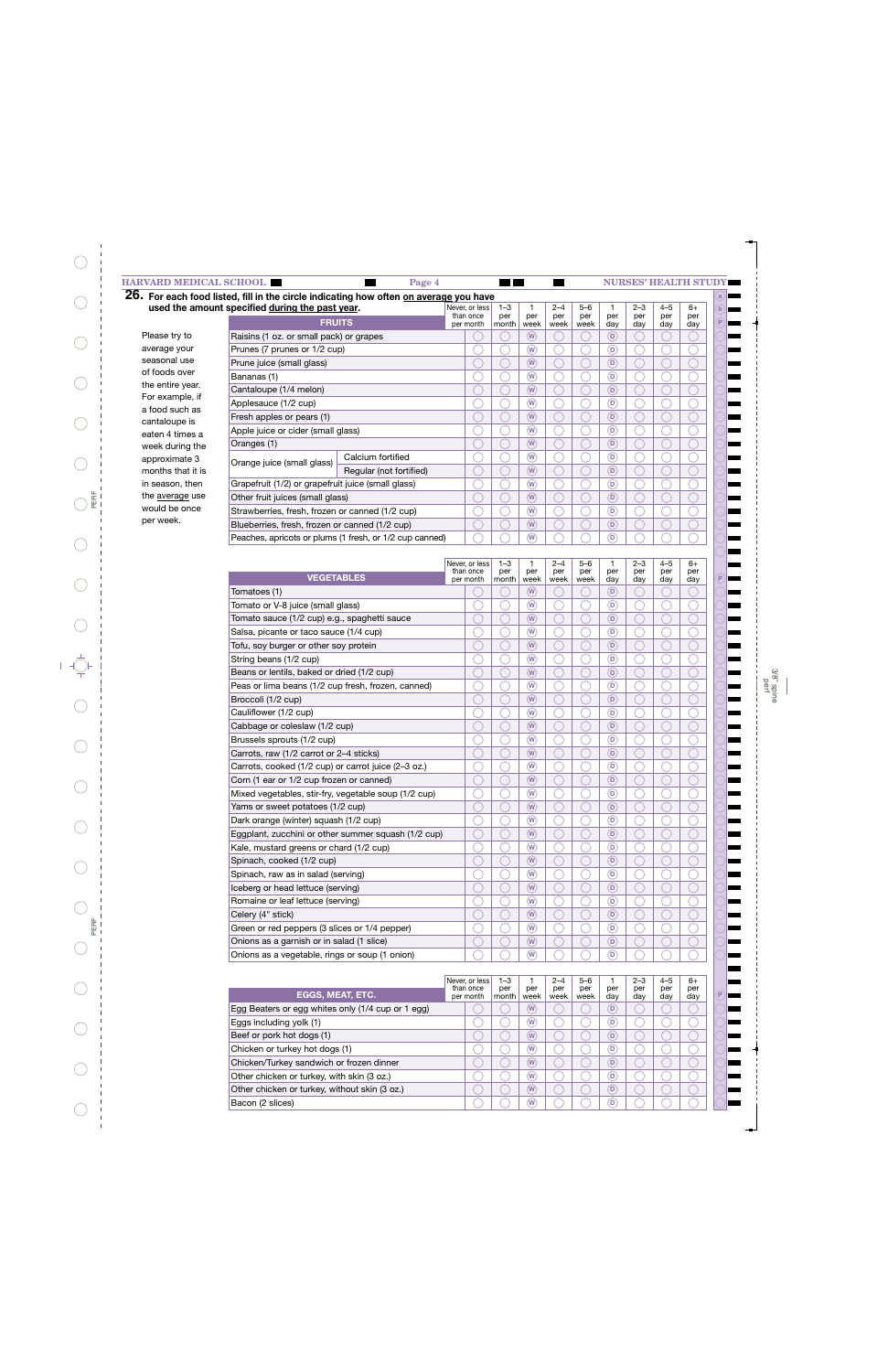|                                                              | 26. For each food listed, fill in the circle indicating how often on average you have<br>used the amount specified during the past year. |                         | Never, or less<br>than once | $1 - 3$<br>per | per                                  | $2 - 4$<br>per | $5 - 6$<br>per | per                    | $2 - 3$<br>per | $4 - 5$<br>per | $6+$<br>per |
|--------------------------------------------------------------|------------------------------------------------------------------------------------------------------------------------------------------|-------------------------|-----------------------------|----------------|--------------------------------------|----------------|----------------|------------------------|----------------|----------------|-------------|
|                                                              | <b>FRUITS</b>                                                                                                                            |                         | per month                   | month          | week                                 | week           | week           | day                    | day            | day            | day         |
| Please try to                                                | Raisins (1 oz. or small pack) or grapes                                                                                                  |                         |                             |                | $\left(\mathbf{W}\right)$            |                |                | $\circ$                |                |                |             |
| average your                                                 | Prunes (7 prunes or 1/2 cup)                                                                                                             |                         |                             |                | $\widehat{w}$                        |                |                | D)                     |                |                |             |
| seasonal use                                                 | Prune juice (small glass)                                                                                                                |                         |                             |                | $\widehat{(\mathsf{W})}$             |                |                | $\widehat{\mathsf{D}}$ |                |                |             |
| of foods over                                                | Bananas (1)                                                                                                                              |                         |                             |                | $\left(\mathbf{W}\right)$            |                |                | (D)                    |                |                |             |
| the entire year.                                             | Cantaloupe (1/4 melon)                                                                                                                   |                         |                             |                | $\widehat{(\mathsf{W})}$             |                |                | $\bigcirc$             |                |                |             |
| For example, if<br>Applesauce (1/2 cup)                      |                                                                                                                                          |                         |                             |                | $\left(\mathbf{W}\right)$            |                |                | D                      |                |                |             |
| a food such as<br>Fresh apples or pears (1)<br>cantaloupe is |                                                                                                                                          |                         |                             |                | $\left(\overline{\mathsf{W}}\right)$ |                |                | $\circledR$            |                |                |             |
| eaten 4 times a                                              | Apple juice or cider (small glass)                                                                                                       |                         |                             |                | $\binom{w}{w}$                       |                |                | D)                     |                |                |             |
| week during the                                              | Oranges (1)                                                                                                                              |                         |                             |                | $\widehat{w}$                        |                |                | $\Box$                 |                |                |             |
| approximate 3                                                | Orange juice (small glass)                                                                                                               | Calcium fortified       |                             |                | $\omega$                             |                |                | (D)                    |                |                |             |
| months that it is                                            |                                                                                                                                          | Regular (not fortified) |                             |                | $\widehat{w}$                        |                |                | $^\copyright$          |                |                |             |
| in season, then                                              | Grapefruit (1/2) or grapefruit juice (small glass)                                                                                       |                         |                             |                | $\widehat{w}$                        |                |                | D)                     |                |                |             |
| the <u>average</u> use                                       | Other fruit juices (small glass)                                                                                                         |                         |                             |                | $\widehat{(\mathsf{W})}$             |                |                | $^\copyright$          |                |                |             |
| would be once                                                | Strawberries, fresh, frozen or canned (1/2 cup)                                                                                          |                         |                             |                | $\left(\mathbf{W}\right)$            |                |                | $\bigcirc$             |                |                |             |
| per week.                                                    | Blueberries, fresh, frozen or canned (1/2 cup)                                                                                           |                         |                             | W              |                                      |                | $\bigcirc$     |                        |                |                |             |
|                                                              | Peaches, apricots or plums (1 fresh, or 1/2 cup canned)                                                                                  |                         |                             |                | (W)                                  |                |                | D)                     |                |                |             |

|                                                      | Never, or less<br>than once | 1–3<br>per | 1<br>per               | 2–4<br>per | 5–6<br>per | per                        | 2–3<br>per | 4–5<br>per | 6+<br>per |
|------------------------------------------------------|-----------------------------|------------|------------------------|------------|------------|----------------------------|------------|------------|-----------|
| <b>VEGETABLES</b>                                    | per month                   | month      | week                   | week       | week       | day                        | day        | day        | day       |
| Tomatoes (1)                                         |                             |            | $\widehat{\mathsf{w}}$ |            |            | $\bigcirc$                 |            |            |           |
| Tomato or V-8 juice (small glass)                    |                             |            | $\widehat{\mathsf{w}}$ |            |            | (D                         |            |            |           |
| Tomato sauce (1/2 cup) e.g., spaghetti sauce         |                             |            | $\widehat{\mathsf{w}}$ |            |            | $\bigcirc$                 |            |            |           |
| Salsa, picante or taco sauce (1/4 cup)               |                             |            | $\widehat{\mathsf{w}}$ |            |            | ⋒                          |            |            |           |
| Tofu, soy burger or other soy protein                |                             |            | $\widehat{\mathsf{w}}$ |            |            | $\bigcirc$                 |            |            |           |
| String beans (1/2 cup)                               |                             |            | $\widehat{\mathsf{w}}$ |            |            | ⋒                          |            |            |           |
| Beans or lentils, baked or dried (1/2 cup)           |                             |            | $\widehat{\mathsf{w}}$ |            |            | $\left( \mathsf{D}\right)$ |            |            |           |
| Peas or lima beans (1/2 cup fresh, frozen, canned)   |                             |            | $\widehat{\mathsf{w}}$ |            |            | 6                          |            |            |           |
| Broccoli (1/2 cup)                                   |                             |            | $\widehat{\mathsf{w}}$ |            |            | $\left( \mathsf{D}\right)$ |            |            |           |
| Cauliflower (1/2 cup)                                |                             |            | $\widehat{\mathsf{w}}$ |            |            | $\bigcirc$                 |            |            |           |
| Cabbage or coleslaw (1/2 cup)                        |                             |            | $\widehat{\mathsf{w}}$ |            |            | $\left( \mathsf{D}\right)$ |            |            |           |
| Brussels sprouts (1/2 cup)                           |                             |            | $\widehat{\mathsf{w}}$ |            |            | 6                          |            |            |           |
| Carrots, raw (1/2 carrot or 2-4 sticks)              |                             |            | $\widehat{\mathsf{w}}$ |            |            | $\left( \mathsf{D}\right)$ |            |            |           |
| Carrots, cooked (1/2 cup) or carrot juice (2-3 oz.)  |                             |            | $\widehat{\mathsf{w}}$ |            |            | (D)                        |            |            |           |
| Corn (1 ear or 1/2 cup frozen or canned)             |                             |            | $\widehat{\mathsf{w}}$ |            |            | $\left( \mathsf{D}\right)$ |            |            |           |
| Mixed vegetables, stir-fry, vegetable soup (1/2 cup) |                             |            | $\widehat{\mathsf{w}}$ |            |            | 6                          |            |            |           |
| Yams or sweet potatoes (1/2 cup)                     |                             |            | $\widehat{\mathsf{w}}$ |            |            | $\bigcirc$                 |            |            |           |
| Dark orange (winter) squash (1/2 cup)                |                             |            | $\widehat{\mathsf{w}}$ |            |            | (D)                        |            |            |           |
| Eggplant, zucchini or other summer squash (1/2 cup)  |                             |            | $\widehat{\mathsf{w}}$ |            |            | $\bigcirc$                 |            |            |           |
| Kale, mustard greens or chard (1/2 cup)              |                             |            | $\widehat{\mathsf{w}}$ |            |            | ⋒                          |            |            |           |
| Spinach, cooked (1/2 cup)                            |                             |            | $\widehat{\mathsf{w}}$ |            |            | $\bigcirc$                 |            |            |           |
| Spinach, raw as in salad (serving)                   |                             |            | $\widehat{\mathsf{w}}$ |            |            | (D)                        |            |            |           |
| Iceberg or head lettuce (serving)                    |                             |            | $\widehat{\mathsf{w}}$ |            |            | $\bigcirc$                 |            |            |           |
| Romaine or leaf lettuce (serving)                    |                             |            | $\widehat{\mathsf{w}}$ |            |            | ⋒                          |            |            |           |
| Celery (4" stick)                                    |                             |            | $\widehat{\mathsf{w}}$ |            |            | $\bigcirc$                 |            |            |           |
| Green or red peppers (3 slices or 1/4 pepper)        |                             |            | W                      |            |            | (D)                        |            |            |           |
| Onions as a garnish or in salad (1 slice)            |                             |            | $\widehat{\mathsf{w}}$ |            |            | $\bigcirc$                 |            |            |           |
| Onions as a vegetable, rings or soup (1 onion)       |                             |            | $\widehat{\mathsf{w}}$ |            |            | ⋒                          |            |            |           |

|                                                   | Never, or less<br>than once | $1 - 3$<br>per | per  | $2 - 4$<br>per | $5 - 6$<br>per | per | $2 - 3$<br>per | $4 - 5$<br>per | $6+$<br>per |
|---------------------------------------------------|-----------------------------|----------------|------|----------------|----------------|-----|----------------|----------------|-------------|
| <b>EGGS, MEAT, ETC.</b>                           | per month                   | month          | week | week           | week           | dav | dav            | dav            | day         |
| Egg Beaters or egg whites only (1/4 cup or 1 egg) |                             |                | W    |                |                | D   |                |                |             |
| Eggs including yolk (1)                           |                             |                | W)   |                |                | D   |                |                |             |
| Beef or pork hot dogs (1)                         |                             |                | W    |                |                | D   |                |                |             |
| Chicken or turkey hot dogs (1)                    |                             |                | W    |                |                | D   |                |                |             |
| Chicken/Turkey sandwich or frozen dinner          |                             |                | W)   |                |                | D   |                |                |             |
| Other chicken or turkey, with skin (3 oz.)        |                             |                | W)   |                |                | D   |                |                |             |
| Other chicken or turkey, without skin (3 oz.)     |                             |                | W)   |                |                | D   |                |                |             |
| Bacon (2 slices)                                  |                             |                | W)   |                |                | D   |                |                |             |

**P**

**P**

 $\bigcirc$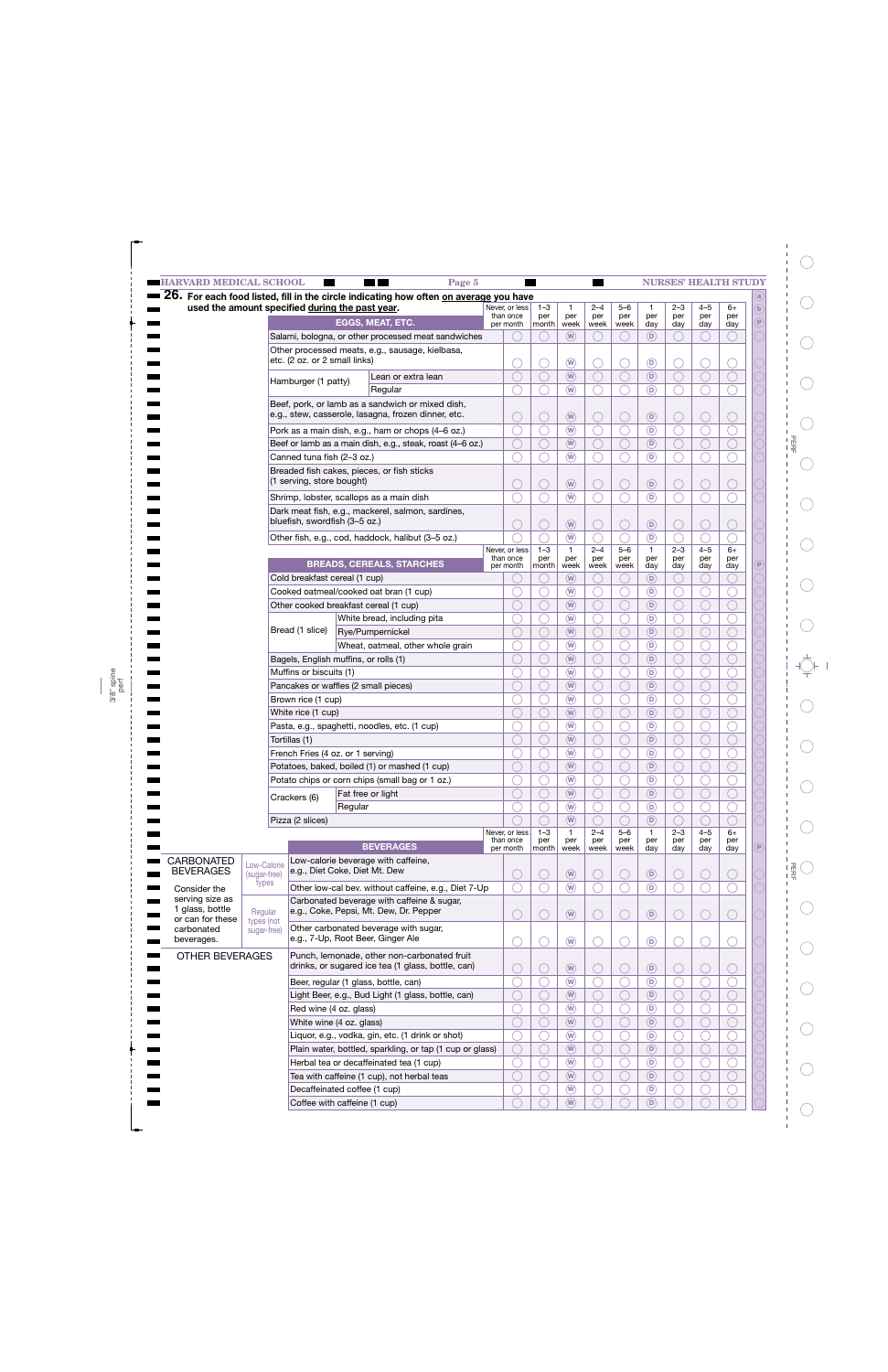| <b>HARVARD MEDICAL SCHOOL</b>         |                                                                                                                                                                                                                                                                                                                                                                                                                                                                                                                                                                                                                                                                                                                                                                                                                                                                                                                                                                                                                   |  | Page 5                                                                                                                                                 |                             |                             |                                     | <b>Contract Service</b> |                |                     |                |                | <b>NURSES' HEALTH STUDY</b> |   |
|---------------------------------------|-------------------------------------------------------------------------------------------------------------------------------------------------------------------------------------------------------------------------------------------------------------------------------------------------------------------------------------------------------------------------------------------------------------------------------------------------------------------------------------------------------------------------------------------------------------------------------------------------------------------------------------------------------------------------------------------------------------------------------------------------------------------------------------------------------------------------------------------------------------------------------------------------------------------------------------------------------------------------------------------------------------------|--|--------------------------------------------------------------------------------------------------------------------------------------------------------|-----------------------------|-----------------------------|-------------------------------------|-------------------------|----------------|---------------------|----------------|----------------|-----------------------------|---|
|                                       |                                                                                                                                                                                                                                                                                                                                                                                                                                                                                                                                                                                                                                                                                                                                                                                                                                                                                                                                                                                                                   |  | $\overline{26}$ . For each food listed, fill in the circle indicating how often on average you have<br>used the amount specified during the past year. | Never, or less              | $1 - 3$                     | $\mathbf{1}$                        | $2 - 4$                 | $5 - 6$        | $\mathbf{1}$        | $2 - 3$        | $4 - 5$        | 6+                          |   |
|                                       |                                                                                                                                                                                                                                                                                                                                                                                                                                                                                                                                                                                                                                                                                                                                                                                                                                                                                                                                                                                                                   |  | <b>EGGS, MEAT, ETC.</b>                                                                                                                                | than once<br>per month      | per<br>month                | per<br>week                         | per<br>week             | per<br>week    | per<br>day          | per<br>day     | per<br>day     | per<br>day                  |   |
|                                       |                                                                                                                                                                                                                                                                                                                                                                                                                                                                                                                                                                                                                                                                                                                                                                                                                                                                                                                                                                                                                   |  |                                                                                                                                                        |                             |                             | $\circled{w}$                       |                         |                | (D)                 |                |                |                             |   |
|                                       |                                                                                                                                                                                                                                                                                                                                                                                                                                                                                                                                                                                                                                                                                                                                                                                                                                                                                                                                                                                                                   |  |                                                                                                                                                        |                             |                             |                                     |                         |                |                     |                |                |                             |   |
|                                       |                                                                                                                                                                                                                                                                                                                                                                                                                                                                                                                                                                                                                                                                                                                                                                                                                                                                                                                                                                                                                   |  |                                                                                                                                                        |                             |                             | $\binom{w}{x}$                      |                         |                | $\circledcirc$      |                |                |                             |   |
|                                       |                                                                                                                                                                                                                                                                                                                                                                                                                                                                                                                                                                                                                                                                                                                                                                                                                                                                                                                                                                                                                   |  | Lean or extra lean                                                                                                                                     |                             |                             | $\left(\widehat{\mathsf{W}}\right)$ |                         |                | $\circ$             |                |                |                             |   |
|                                       |                                                                                                                                                                                                                                                                                                                                                                                                                                                                                                                                                                                                                                                                                                                                                                                                                                                                                                                                                                                                                   |  | Regular                                                                                                                                                |                             |                             | (w)                                 |                         |                | $\circ$             |                |                |                             |   |
|                                       |                                                                                                                                                                                                                                                                                                                                                                                                                                                                                                                                                                                                                                                                                                                                                                                                                                                                                                                                                                                                                   |  |                                                                                                                                                        |                             |                             |                                     |                         |                |                     |                |                |                             |   |
|                                       |                                                                                                                                                                                                                                                                                                                                                                                                                                                                                                                                                                                                                                                                                                                                                                                                                                                                                                                                                                                                                   |  |                                                                                                                                                        |                             |                             | $\left(\widehat{\mathsf{W}}\right)$ |                         |                | $\circledR$         |                |                |                             |   |
|                                       |                                                                                                                                                                                                                                                                                                                                                                                                                                                                                                                                                                                                                                                                                                                                                                                                                                                                                                                                                                                                                   |  |                                                                                                                                                        |                             |                             | $\circledR$                         |                         |                | $\circledcirc$      |                |                |                             |   |
|                                       |                                                                                                                                                                                                                                                                                                                                                                                                                                                                                                                                                                                                                                                                                                                                                                                                                                                                                                                                                                                                                   |  |                                                                                                                                                        |                             |                             | (W)                                 |                         |                | (D)                 |                |                |                             |   |
|                                       |                                                                                                                                                                                                                                                                                                                                                                                                                                                                                                                                                                                                                                                                                                                                                                                                                                                                                                                                                                                                                   |  |                                                                                                                                                        |                             |                             | $\binom{w}{w}$                      |                         |                | $\circ$             |                |                |                             |   |
|                                       |                                                                                                                                                                                                                                                                                                                                                                                                                                                                                                                                                                                                                                                                                                                                                                                                                                                                                                                                                                                                                   |  |                                                                                                                                                        |                             |                             |                                     |                         |                |                     |                |                |                             |   |
|                                       |                                                                                                                                                                                                                                                                                                                                                                                                                                                                                                                                                                                                                                                                                                                                                                                                                                                                                                                                                                                                                   |  |                                                                                                                                                        |                             |                             | $\left(\widehat{\mathsf{W}}\right)$ |                         |                | $\circledR$         |                |                |                             |   |
|                                       |                                                                                                                                                                                                                                                                                                                                                                                                                                                                                                                                                                                                                                                                                                                                                                                                                                                                                                                                                                                                                   |  |                                                                                                                                                        |                             |                             | $\circledR$                         |                         |                | $\circ$             |                |                |                             |   |
|                                       |                                                                                                                                                                                                                                                                                                                                                                                                                                                                                                                                                                                                                                                                                                                                                                                                                                                                                                                                                                                                                   |  |                                                                                                                                                        |                             |                             |                                     |                         |                |                     |                |                |                             |   |
|                                       |                                                                                                                                                                                                                                                                                                                                                                                                                                                                                                                                                                                                                                                                                                                                                                                                                                                                                                                                                                                                                   |  |                                                                                                                                                        |                             |                             | $\circledR$                         |                         |                | $\circledR$         |                |                |                             |   |
|                                       |                                                                                                                                                                                                                                                                                                                                                                                                                                                                                                                                                                                                                                                                                                                                                                                                                                                                                                                                                                                                                   |  |                                                                                                                                                        |                             | $1 - 3$                     | $\left(\overline{w}\right)$         | $2 - 4$                 | $5 - 6$        | $\circ$             | $2 - 3$        | $4 - 5$        | $6+$                        |   |
|                                       | Canned tuna fish (2-3 oz.)<br>Breaded fish cakes, pieces, or fish sticks<br>(1 serving, store bought)<br>Shrimp, lobster, scallops as a main dish<br>bluefish, swordfish (3-5 oz.)<br><b>BREADS, CEREALS, STARCHES</b><br>Cold breakfast cereal (1 cup)<br>Cooked oatmeal/cooked oat bran (1 cup)<br>Other cooked breakfast cereal (1 cup)<br>White bread, including pita<br>Bread (1 slice)<br>Rye/Pumpernickel<br>Bagels, English muffins, or rolls (1)<br>Muffins or biscuits (1)<br>Pancakes or waffles (2 small pieces)<br>Brown rice (1 cup)<br>White rice (1 cup)<br>Pasta, e.g., spaghetti, noodles, etc. (1 cup)<br>Tortillas (1)<br>French Fries (4 oz. or 1 serving)<br>Potatoes, baked, boiled (1) or mashed (1 cup)<br>Potato chips or corn chips (small bag or 1 oz.)<br>Fat free or light<br>Crackers (6)<br>Regular<br>Pizza (2 slices)<br><b>BEVERAGES</b>                                                                                                                                       |  |                                                                                                                                                        | Never, or less<br>than once | per                         | $\mathbf{1}$<br>per                 | per                     | per            | $\mathbf{1}$<br>per | per            | per            | per                         |   |
|                                       |                                                                                                                                                                                                                                                                                                                                                                                                                                                                                                                                                                                                                                                                                                                                                                                                                                                                                                                                                                                                                   |  |                                                                                                                                                        | per month                   | month                       | week                                | week                    | week           | day                 | day            | day            | day                         |   |
|                                       |                                                                                                                                                                                                                                                                                                                                                                                                                                                                                                                                                                                                                                                                                                                                                                                                                                                                                                                                                                                                                   |  |                                                                                                                                                        |                             |                             | (W)<br>$\omega$                     |                         |                | (D)<br>(D)          |                |                |                             |   |
|                                       |                                                                                                                                                                                                                                                                                                                                                                                                                                                                                                                                                                                                                                                                                                                                                                                                                                                                                                                                                                                                                   |  |                                                                                                                                                        |                             |                             | (W)                                 |                         |                | (D)                 |                |                |                             |   |
|                                       |                                                                                                                                                                                                                                                                                                                                                                                                                                                                                                                                                                                                                                                                                                                                                                                                                                                                                                                                                                                                                   |  |                                                                                                                                                        |                             |                             | $\circledR$                         |                         |                | $\circledcirc$      |                |                |                             |   |
|                                       |                                                                                                                                                                                                                                                                                                                                                                                                                                                                                                                                                                                                                                                                                                                                                                                                                                                                                                                                                                                                                   |  |                                                                                                                                                        |                             |                             | (W)                                 |                         |                | (D)                 |                |                |                             |   |
|                                       |                                                                                                                                                                                                                                                                                                                                                                                                                                                                                                                                                                                                                                                                                                                                                                                                                                                                                                                                                                                                                   |  |                                                                                                                                                        |                             |                             | $\circledR$                         |                         |                | $\circledcirc$      |                |                |                             |   |
|                                       |                                                                                                                                                                                                                                                                                                                                                                                                                                                                                                                                                                                                                                                                                                                                                                                                                                                                                                                                                                                                                   |  |                                                                                                                                                        |                             |                             | (W)                                 |                         |                | (D)                 |                |                |                             |   |
|                                       |                                                                                                                                                                                                                                                                                                                                                                                                                                                                                                                                                                                                                                                                                                                                                                                                                                                                                                                                                                                                                   |  |                                                                                                                                                        |                             |                             | $\circledR$                         |                         |                | $\circledcirc$      |                |                |                             |   |
|                                       |                                                                                                                                                                                                                                                                                                                                                                                                                                                                                                                                                                                                                                                                                                                                                                                                                                                                                                                                                                                                                   |  |                                                                                                                                                        |                             |                             | (W)                                 |                         |                | (D)                 |                |                |                             |   |
|                                       |                                                                                                                                                                                                                                                                                                                                                                                                                                                                                                                                                                                                                                                                                                                                                                                                                                                                                                                                                                                                                   |  |                                                                                                                                                        |                             |                             | $\circledR$                         |                         |                | (D)                 |                |                |                             |   |
|                                       |                                                                                                                                                                                                                                                                                                                                                                                                                                                                                                                                                                                                                                                                                                                                                                                                                                                                                                                                                                                                                   |  |                                                                                                                                                        |                             |                             | $\circled{w}$                       |                         |                | (D)                 |                |                |                             |   |
|                                       |                                                                                                                                                                                                                                                                                                                                                                                                                                                                                                                                                                                                                                                                                                                                                                                                                                                                                                                                                                                                                   |  |                                                                                                                                                        |                             |                             | $\circledR$                         |                         |                | $\circledcirc$      |                |                |                             |   |
|                                       |                                                                                                                                                                                                                                                                                                                                                                                                                                                                                                                                                                                                                                                                                                                                                                                                                                                                                                                                                                                                                   |  |                                                                                                                                                        |                             |                             | $\left(\mathbf{W}\right)$           |                         |                | $\circ$             |                |                |                             |   |
|                                       |                                                                                                                                                                                                                                                                                                                                                                                                                                                                                                                                                                                                                                                                                                                                                                                                                                                                                                                                                                                                                   |  |                                                                                                                                                        |                             |                             | $\circledR$                         |                         |                | $^\copyright$       |                |                |                             |   |
|                                       | Salami, bologna, or other processed meat sandwiches<br>Other processed meats, e.g., sausage, kielbasa,<br>etc. (2 oz. or 2 small links)<br>Hamburger (1 patty)<br>Beef, pork, or lamb as a sandwich or mixed dish,<br>e.g., stew, casserole, lasagna, frozen dinner, etc.<br>Pork as a main dish, e.g., ham or chops (4-6 oz.)<br>Dark meat fish, e.g., mackerel, salmon, sardines,<br>Other fish, e.g., cod, haddock, halibut (3-5 oz.)<br>Low-calorie beverage with caffeine,<br>Low-Calorie<br>e.g., Diet Coke, Diet Mt. Dew<br>(sugar-free)<br>types<br>Carbonated beverage with caffeine & sugar,<br>e.g., Coke, Pepsi, Mt. Dew, Dr. Pepper<br>Regular<br>types (not<br>Other carbonated beverage with sugar,<br>sugar-free)<br>e.g., 7-Up, Root Beer, Ginger Ale<br>Beer, regular (1 glass, bottle, can)<br>Red wine (4 oz. glass)<br>White wine (4 oz. glass)<br>Liquor, e.g., vodka, gin, etc. (1 drink or shot)<br>Herbal tea or decaffeinated tea (1 cup)<br>Tea with caffeine (1 cup), not herbal teas |  |                                                                                                                                                        |                             | $\circled{w}$               |                                     |                         | $\circledR$    |                     |                |                |                             |   |
|                                       |                                                                                                                                                                                                                                                                                                                                                                                                                                                                                                                                                                                                                                                                                                                                                                                                                                                                                                                                                                                                                   |  |                                                                                                                                                        |                             | $\circledR$                 |                                     |                         | $\circledR$    |                     |                |                |                             |   |
|                                       | Beef or lamb as a main dish, e.g., steak, roast (4-6 oz.)<br>Wheat, oatmeal, other whole grain<br>Other low-cal bev. without caffeine, e.g., Diet 7-Up<br>Punch, lemonade, other non-carbonated fruit<br><b>OTHER BEVERAGES</b><br>drinks, or sugared ice tea (1 glass, bottle, can)<br>Light Beer, e.g., Bud Light (1 glass, bottle, can)<br>Plain water, bottled, sparkling, or tap (1 cup or glass)<br>Decaffeinated coffee (1 cup)                                                                                                                                                                                                                                                                                                                                                                                                                                                                                                                                                                            |  |                                                                                                                                                        |                             | $\left(\overline{W}\right)$ |                                     |                         | $\circledR$    |                     |                |                |                             |   |
|                                       |                                                                                                                                                                                                                                                                                                                                                                                                                                                                                                                                                                                                                                                                                                                                                                                                                                                                                                                                                                                                                   |  |                                                                                                                                                        | $\circledR$                 |                             |                                     | $\circledcirc$          |                |                     |                |                |                             |   |
|                                       |                                                                                                                                                                                                                                                                                                                                                                                                                                                                                                                                                                                                                                                                                                                                                                                                                                                                                                                                                                                                                   |  |                                                                                                                                                        |                             |                             | $\circledR$                         |                         |                | $\circledcirc$      |                |                |                             |   |
|                                       |                                                                                                                                                                                                                                                                                                                                                                                                                                                                                                                                                                                                                                                                                                                                                                                                                                                                                                                                                                                                                   |  |                                                                                                                                                        | Never, or less<br>than once | $1 - 3$<br>per              | $\mathbf{1}$<br>per                 | $2 - 4$<br>per          | $5 - 6$<br>per | $\mathbf{1}$<br>per | $2 - 3$<br>per | $4 - 5$<br>per | 6+<br>per                   |   |
|                                       |                                                                                                                                                                                                                                                                                                                                                                                                                                                                                                                                                                                                                                                                                                                                                                                                                                                                                                                                                                                                                   |  |                                                                                                                                                        | per month                   | month                       | week                                | week                    | week           | day                 | day            | day            | day                         | P |
| <b>CARBONATED</b><br><b>BEVERAGES</b> |                                                                                                                                                                                                                                                                                                                                                                                                                                                                                                                                                                                                                                                                                                                                                                                                                                                                                                                                                                                                                   |  |                                                                                                                                                        |                             |                             |                                     |                         |                |                     |                |                |                             |   |
|                                       |                                                                                                                                                                                                                                                                                                                                                                                                                                                                                                                                                                                                                                                                                                                                                                                                                                                                                                                                                                                                                   |  |                                                                                                                                                        |                             |                             | $\circledR$                         |                         |                | $\circledR$         |                |                |                             |   |
| Consider the<br>serving size as       |                                                                                                                                                                                                                                                                                                                                                                                                                                                                                                                                                                                                                                                                                                                                                                                                                                                                                                                                                                                                                   |  |                                                                                                                                                        |                             |                             | $\circledR$                         |                         |                | $\circledR$         |                |                |                             |   |
| 1 glass, bottle                       |                                                                                                                                                                                                                                                                                                                                                                                                                                                                                                                                                                                                                                                                                                                                                                                                                                                                                                                                                                                                                   |  |                                                                                                                                                        |                             |                             | $\circledR$                         |                         |                | $\circledR$         |                |                |                             |   |
| or can for these                      |                                                                                                                                                                                                                                                                                                                                                                                                                                                                                                                                                                                                                                                                                                                                                                                                                                                                                                                                                                                                                   |  |                                                                                                                                                        |                             |                             |                                     |                         |                |                     |                |                |                             |   |
| carbonated<br>beverages.              |                                                                                                                                                                                                                                                                                                                                                                                                                                                                                                                                                                                                                                                                                                                                                                                                                                                                                                                                                                                                                   |  |                                                                                                                                                        |                             |                             | $\circledR$                         |                         |                | $\circledR$         |                |                |                             |   |
|                                       |                                                                                                                                                                                                                                                                                                                                                                                                                                                                                                                                                                                                                                                                                                                                                                                                                                                                                                                                                                                                                   |  |                                                                                                                                                        |                             |                             |                                     |                         |                |                     |                |                |                             |   |
|                                       |                                                                                                                                                                                                                                                                                                                                                                                                                                                                                                                                                                                                                                                                                                                                                                                                                                                                                                                                                                                                                   |  |                                                                                                                                                        |                             |                             |                                     |                         |                | $\circledR$         |                |                |                             |   |
|                                       |                                                                                                                                                                                                                                                                                                                                                                                                                                                                                                                                                                                                                                                                                                                                                                                                                                                                                                                                                                                                                   |  |                                                                                                                                                        |                             |                             | $\circledR$<br>$\circledR$          |                         |                | $\circledR$         |                |                |                             |   |
|                                       |                                                                                                                                                                                                                                                                                                                                                                                                                                                                                                                                                                                                                                                                                                                                                                                                                                                                                                                                                                                                                   |  |                                                                                                                                                        |                             |                             | $\circledR$                         |                         |                | $\circ$             |                |                |                             |   |
|                                       |                                                                                                                                                                                                                                                                                                                                                                                                                                                                                                                                                                                                                                                                                                                                                                                                                                                                                                                                                                                                                   |  |                                                                                                                                                        |                             |                             | $\circledR$                         |                         |                | $\circledR$         |                |                |                             |   |
|                                       |                                                                                                                                                                                                                                                                                                                                                                                                                                                                                                                                                                                                                                                                                                                                                                                                                                                                                                                                                                                                                   |  |                                                                                                                                                        |                             |                             | $\left(\overline{W}\right)$         |                         |                | $\circledR$         |                |                |                             |   |
|                                       |                                                                                                                                                                                                                                                                                                                                                                                                                                                                                                                                                                                                                                                                                                                                                                                                                                                                                                                                                                                                                   |  |                                                                                                                                                        |                             |                             | $\circledR$                         |                         |                | $\circledR$         |                |                |                             |   |
|                                       |                                                                                                                                                                                                                                                                                                                                                                                                                                                                                                                                                                                                                                                                                                                                                                                                                                                                                                                                                                                                                   |  |                                                                                                                                                        |                             |                             | $\circledR$                         |                         |                | $\circledR$         |                |                |                             |   |
|                                       |                                                                                                                                                                                                                                                                                                                                                                                                                                                                                                                                                                                                                                                                                                                                                                                                                                                                                                                                                                                                                   |  |                                                                                                                                                        |                             |                             | $\circledR$                         |                         |                | $\circledR$         |                |                |                             |   |
|                                       |                                                                                                                                                                                                                                                                                                                                                                                                                                                                                                                                                                                                                                                                                                                                                                                                                                                                                                                                                                                                                   |  |                                                                                                                                                        |                             |                             | $\circledR$                         |                         |                | $\circledR$         |                |                |                             |   |
|                                       |                                                                                                                                                                                                                                                                                                                                                                                                                                                                                                                                                                                                                                                                                                                                                                                                                                                                                                                                                                                                                   |  |                                                                                                                                                        |                             |                             | $\circledR$                         |                         |                | $\circledR$         |                |                |                             |   |
|                                       |                                                                                                                                                                                                                                                                                                                                                                                                                                                                                                                                                                                                                                                                                                                                                                                                                                                                                                                                                                                                                   |  |                                                                                                                                                        |                             |                             |                                     |                         |                |                     |                |                |                             |   |

perf

 $\bigcirc$  $\bigcirc$  $\bigcirc$  $\bigcirc$  $\bigcirc$  $\bigcirc$